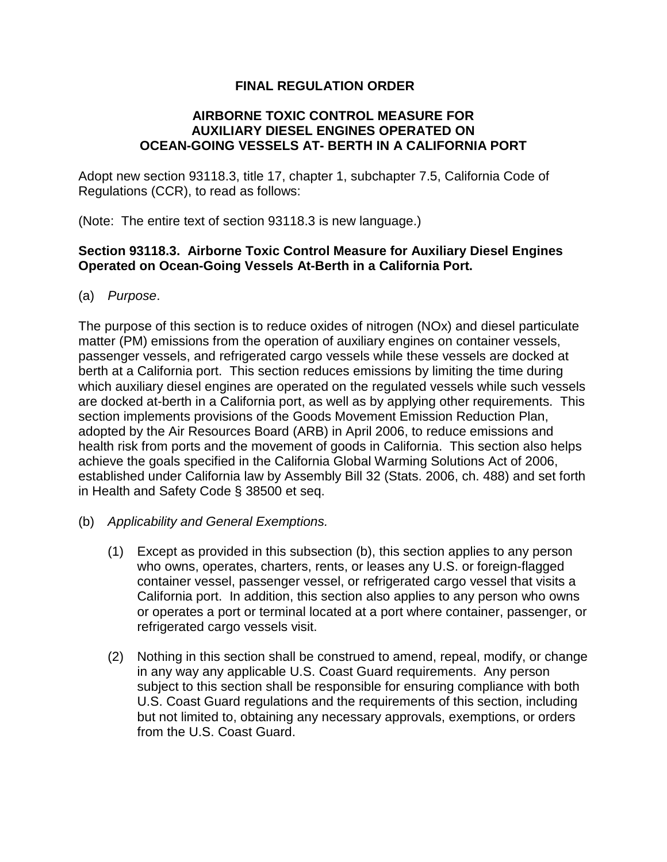## **FINAL REGULATION ORDER**

## **AIRBORNE TOXIC CONTROL MEASURE FOR AUXILIARY DIESEL ENGINES OPERATED ON OCEAN-GOING VESSELS AT- BERTH IN A CALIFORNIA PORT**

Adopt new section 93118.3, title 17, chapter 1, subchapter 7.5, California Code of Regulations (CCR), to read as follows:

(Note: The entire text of section 93118.3 is new language.)

## **Section 93118.3. Airborne Toxic Control Measure for Auxiliary Diesel Engines Operated on Ocean-Going Vessels At-Berth in a California Port.**

(a) Purpose.

The purpose of this section is to reduce oxides of nitrogen (NOx) and diesel particulate matter (PM) emissions from the operation of auxiliary engines on container vessels, passenger vessels, and refrigerated cargo vessels while these vessels are docked at berth at a California port. This section reduces emissions by limiting the time during which auxiliary diesel engines are operated on the regulated vessels while such vessels are docked at-berth in a California port, as well as by applying other requirements. This section implements provisions of the Goods Movement Emission Reduction Plan, adopted by the Air Resources Board (ARB) in April 2006, to reduce emissions and health risk from ports and the movement of goods in California. This section also helps achieve the goals specified in the California Global Warming Solutions Act of 2006, established under California law by Assembly Bill 32 (Stats. 2006, ch. 488) and set forth in Health and Safety Code § 38500 et seq.

- (b) Applicability and General Exemptions.
	- (1) Except as provided in this subsection (b), this section applies to any person who owns, operates, charters, rents, or leases any U.S. or foreign-flagged container vessel, passenger vessel, or refrigerated cargo vessel that visits a California port. In addition, this section also applies to any person who owns or operates a port or terminal located at a port where container, passenger, or refrigerated cargo vessels visit.
	- (2) Nothing in this section shall be construed to amend, repeal, modify, or change in any way any applicable U.S. Coast Guard requirements. Any person subject to this section shall be responsible for ensuring compliance with both U.S. Coast Guard regulations and the requirements of this section, including but not limited to, obtaining any necessary approvals, exemptions, or orders from the U.S. Coast Guard.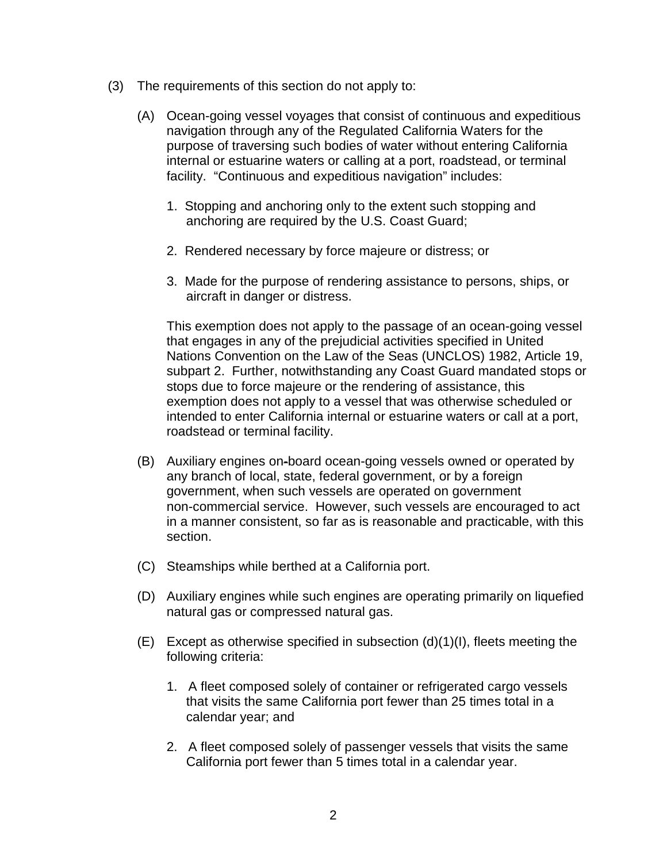- (3) The requirements of this section do not apply to:
	- (A) Ocean-going vessel voyages that consist of continuous and expeditious navigation through any of the Regulated California Waters for the purpose of traversing such bodies of water without entering California internal or estuarine waters or calling at a port, roadstead, or terminal facility. "Continuous and expeditious navigation" includes:
		- 1. Stopping and anchoring only to the extent such stopping and anchoring are required by the U.S. Coast Guard;
		- 2. Rendered necessary by force majeure or distress; or
		- 3. Made for the purpose of rendering assistance to persons, ships, or aircraft in danger or distress.

 This exemption does not apply to the passage of an ocean-going vessel that engages in any of the prejudicial activities specified in United Nations Convention on the Law of the Seas (UNCLOS) 1982, Article 19, subpart 2. Further, notwithstanding any Coast Guard mandated stops or stops due to force majeure or the rendering of assistance, this exemption does not apply to a vessel that was otherwise scheduled or intended to enter California internal or estuarine waters or call at a port, roadstead or terminal facility.

- (B) Auxiliary engines on-board ocean-going vessels owned or operated by any branch of local, state, federal government, or by a foreign government, when such vessels are operated on government non-commercial service. However, such vessels are encouraged to act in a manner consistent, so far as is reasonable and practicable, with this section.
- (C) Steamships while berthed at a California port.
- (D) Auxiliary engines while such engines are operating primarily on liquefied natural gas or compressed natural gas.
- $(E)$  Except as otherwise specified in subsection  $(d)(1)(l)$ , fleets meeting the following criteria:
	- 1. A fleet composed solely of container or refrigerated cargo vessels that visits the same California port fewer than 25 times total in a calendar year; and
	- 2. A fleet composed solely of passenger vessels that visits the same California port fewer than 5 times total in a calendar year.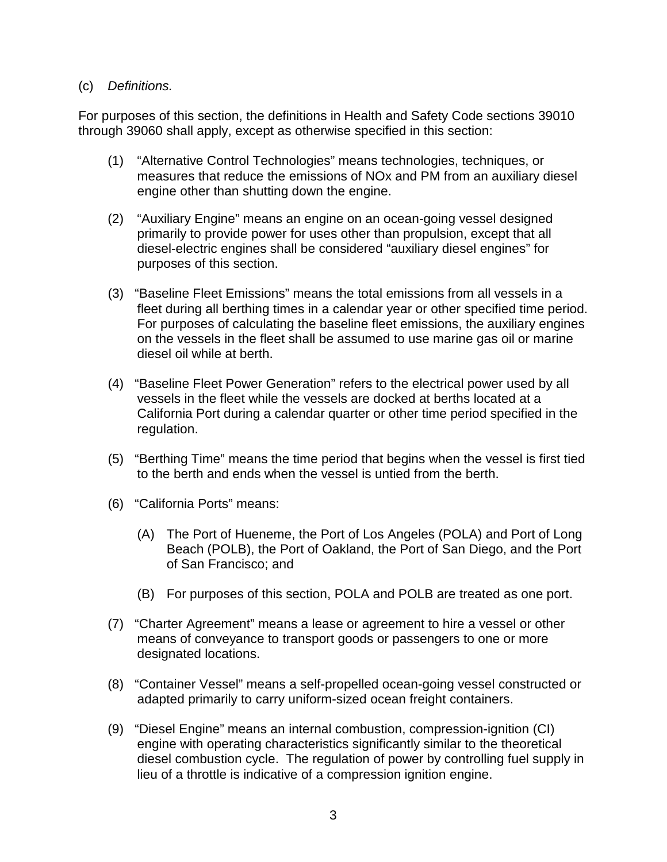## (c) Definitions.

For purposes of this section, the definitions in Health and Safety Code sections 39010 through 39060 shall apply, except as otherwise specified in this section:

- (1) "Alternative Control Technologies" means technologies, techniques, or measures that reduce the emissions of NOx and PM from an auxiliary diesel engine other than shutting down the engine.
- (2) "Auxiliary Engine" means an engine on an ocean-going vessel designed primarily to provide power for uses other than propulsion, except that all diesel-electric engines shall be considered "auxiliary diesel engines" for purposes of this section.
- (3) "Baseline Fleet Emissions" means the total emissions from all vessels in a fleet during all berthing times in a calendar year or other specified time period. For purposes of calculating the baseline fleet emissions, the auxiliary engines on the vessels in the fleet shall be assumed to use marine gas oil or marine diesel oil while at berth.
- (4) "Baseline Fleet Power Generation" refers to the electrical power used by all vessels in the fleet while the vessels are docked at berths located at a California Port during a calendar quarter or other time period specified in the regulation.
- (5) "Berthing Time" means the time period that begins when the vessel is first tied to the berth and ends when the vessel is untied from the berth.
- (6) "California Ports" means:
	- (A) The Port of Hueneme, the Port of Los Angeles (POLA) and Port of Long Beach (POLB), the Port of Oakland, the Port of San Diego, and the Port of San Francisco; and
	- (B) For purposes of this section, POLA and POLB are treated as one port.
- (7) "Charter Agreement" means a lease or agreement to hire a vessel or other means of conveyance to transport goods or passengers to one or more designated locations.
- (8) "Container Vessel" means a self-propelled ocean-going vessel constructed or adapted primarily to carry uniform-sized ocean freight containers.
- (9) "Diesel Engine" means an internal combustion, compression-ignition (CI) engine with operating characteristics significantly similar to the theoretical diesel combustion cycle. The regulation of power by controlling fuel supply in lieu of a throttle is indicative of a compression ignition engine.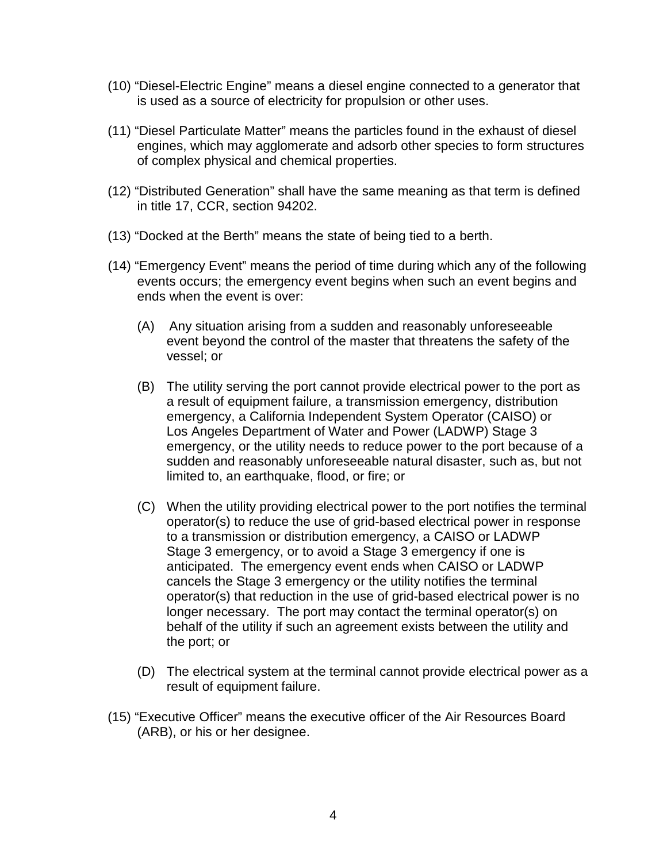- (10) "Diesel-Electric Engine" means a diesel engine connected to a generator that is used as a source of electricity for propulsion or other uses.
- (11) "Diesel Particulate Matter" means the particles found in the exhaust of diesel engines, which may agglomerate and adsorb other species to form structures of complex physical and chemical properties.
- (12) "Distributed Generation" shall have the same meaning as that term is defined in title 17, CCR, section 94202.
- (13) "Docked at the Berth" means the state of being tied to a berth.
- (14) "Emergency Event" means the period of time during which any of the following events occurs; the emergency event begins when such an event begins and ends when the event is over:
	- (A) Any situation arising from a sudden and reasonably unforeseeable event beyond the control of the master that threatens the safety of the vessel; or
	- (B) The utility serving the port cannot provide electrical power to the port as a result of equipment failure, a transmission emergency, distribution emergency, a California Independent System Operator (CAISO) or Los Angeles Department of Water and Power (LADWP) Stage 3 emergency, or the utility needs to reduce power to the port because of a sudden and reasonably unforeseeable natural disaster, such as, but not limited to, an earthquake, flood, or fire; or
	- (C) When the utility providing electrical power to the port notifies the terminal operator(s) to reduce the use of grid-based electrical power in response to a transmission or distribution emergency, a CAISO or LADWP Stage 3 emergency, or to avoid a Stage 3 emergency if one is anticipated. The emergency event ends when CAISO or LADWP cancels the Stage 3 emergency or the utility notifies the terminal operator(s) that reduction in the use of grid-based electrical power is no longer necessary. The port may contact the terminal operator(s) on behalf of the utility if such an agreement exists between the utility and the port; or
	- (D) The electrical system at the terminal cannot provide electrical power as a result of equipment failure.
- (15) "Executive Officer" means the executive officer of the Air Resources Board (ARB), or his or her designee.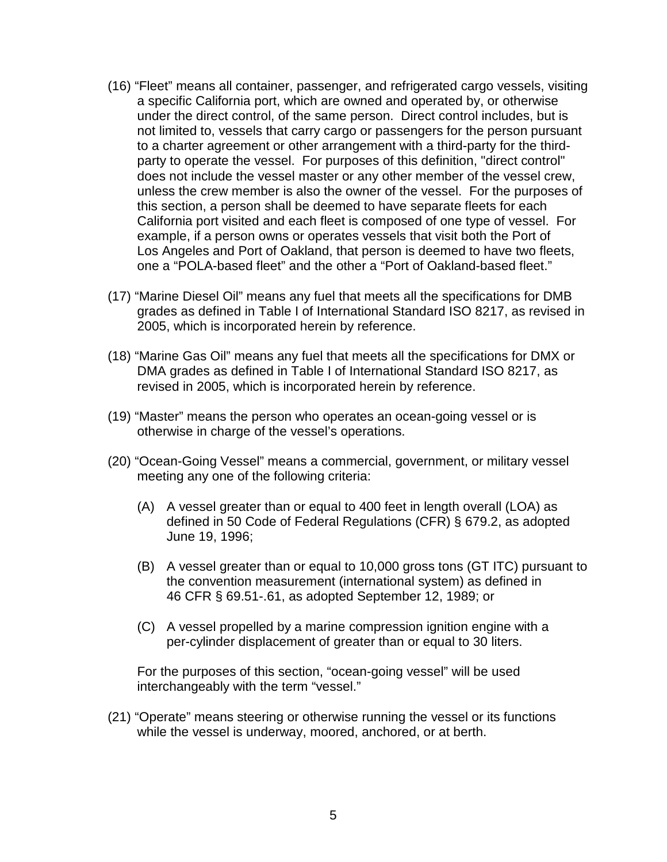- (16) "Fleet" means all container, passenger, and refrigerated cargo vessels, visiting a specific California port, which are owned and operated by, or otherwise under the direct control, of the same person. Direct control includes, but is not limited to, vessels that carry cargo or passengers for the person pursuant to a charter agreement or other arrangement with a third-party for the thirdparty to operate the vessel. For purposes of this definition, "direct control" does not include the vessel master or any other member of the vessel crew, unless the crew member is also the owner of the vessel. For the purposes of this section, a person shall be deemed to have separate fleets for each California port visited and each fleet is composed of one type of vessel. For example, if a person owns or operates vessels that visit both the Port of Los Angeles and Port of Oakland, that person is deemed to have two fleets, one a "POLA-based fleet" and the other a "Port of Oakland-based fleet."
- (17) "Marine Diesel Oil" means any fuel that meets all the specifications for DMB grades as defined in Table I of International Standard ISO 8217, as revised in 2005, which is incorporated herein by reference.
- (18) "Marine Gas Oil" means any fuel that meets all the specifications for DMX or DMA grades as defined in Table I of International Standard ISO 8217, as revised in 2005, which is incorporated herein by reference.
- (19) "Master" means the person who operates an ocean-going vessel or is otherwise in charge of the vessel's operations.
- (20) "Ocean-Going Vessel" means a commercial, government, or military vessel meeting any one of the following criteria:
	- (A) A vessel greater than or equal to 400 feet in length overall (LOA) as defined in 50 Code of Federal Regulations (CFR) § 679.2, as adopted June 19, 1996;
	- (B) A vessel greater than or equal to 10,000 gross tons (GT ITC) pursuant to the convention measurement (international system) as defined in 46 CFR § 69.51-.61, as adopted September 12, 1989; or
	- (C) A vessel propelled by a marine compression ignition engine with a per-cylinder displacement of greater than or equal to 30 liters.

For the purposes of this section, "ocean-going vessel" will be used interchangeably with the term "vessel."

(21) "Operate" means steering or otherwise running the vessel or its functions while the vessel is underway, moored, anchored, or at berth.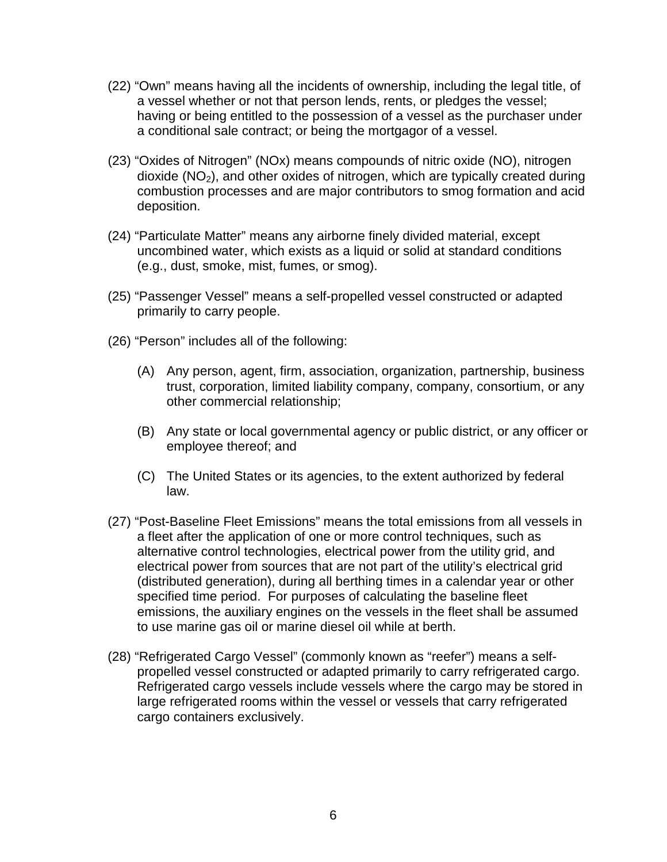- (22) "Own" means having all the incidents of ownership, including the legal title, of a vessel whether or not that person lends, rents, or pledges the vessel; having or being entitled to the possession of a vessel as the purchaser under a conditional sale contract; or being the mortgagor of a vessel.
- (23) "Oxides of Nitrogen" (NOx) means compounds of nitric oxide (NO), nitrogen dioxide  $(NO<sub>2</sub>)$ , and other oxides of nitrogen, which are typically created during combustion processes and are major contributors to smog formation and acid deposition.
- (24) "Particulate Matter" means any airborne finely divided material, except uncombined water, which exists as a liquid or solid at standard conditions (e.g., dust, smoke, mist, fumes, or smog).
- (25) "Passenger Vessel" means a self-propelled vessel constructed or adapted primarily to carry people.
- (26) "Person" includes all of the following:
	- (A) Any person, agent, firm, association, organization, partnership, business trust, corporation, limited liability company, company, consortium, or any other commercial relationship;
	- (B) Any state or local governmental agency or public district, or any officer or employee thereof; and
	- (C) The United States or its agencies, to the extent authorized by federal law.
- (27) "Post-Baseline Fleet Emissions" means the total emissions from all vessels in a fleet after the application of one or more control techniques, such as alternative control technologies, electrical power from the utility grid, and electrical power from sources that are not part of the utility's electrical grid (distributed generation), during all berthing times in a calendar year or other specified time period. For purposes of calculating the baseline fleet emissions, the auxiliary engines on the vessels in the fleet shall be assumed to use marine gas oil or marine diesel oil while at berth.
- (28) "Refrigerated Cargo Vessel" (commonly known as "reefer") means a selfpropelled vessel constructed or adapted primarily to carry refrigerated cargo. Refrigerated cargo vessels include vessels where the cargo may be stored in large refrigerated rooms within the vessel or vessels that carry refrigerated cargo containers exclusively.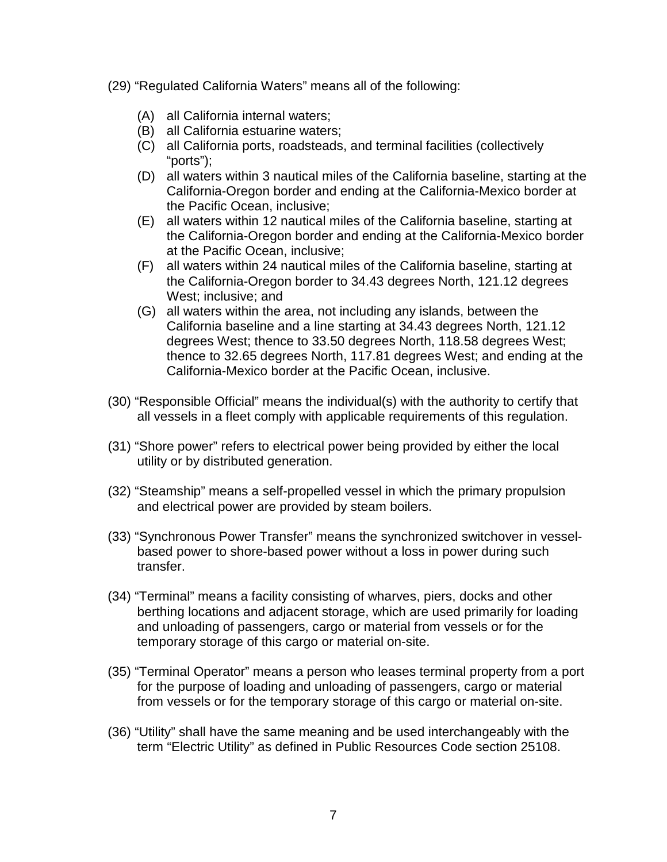- (29) "Regulated California Waters" means all of the following:
	- (A) all California internal waters;
	- (B) all California estuarine waters;
	- (C) all California ports, roadsteads, and terminal facilities (collectively "ports");
	- (D) all waters within 3 nautical miles of the California baseline, starting at the California-Oregon border and ending at the California-Mexico border at the Pacific Ocean, inclusive;
	- (E) all waters within 12 nautical miles of the California baseline, starting at the California-Oregon border and ending at the California-Mexico border at the Pacific Ocean, inclusive;
	- (F) all waters within 24 nautical miles of the California baseline, starting at the California-Oregon border to 34.43 degrees North, 121.12 degrees West; inclusive; and
	- (G) all waters within the area, not including any islands, between the California baseline and a line starting at 34.43 degrees North, 121.12 degrees West; thence to 33.50 degrees North, 118.58 degrees West; thence to 32.65 degrees North, 117.81 degrees West; and ending at the California-Mexico border at the Pacific Ocean, inclusive.
- (30) "Responsible Official" means the individual(s) with the authority to certify that all vessels in a fleet comply with applicable requirements of this regulation.
- (31) "Shore power" refers to electrical power being provided by either the local utility or by distributed generation.
- (32) "Steamship" means a self-propelled vessel in which the primary propulsion and electrical power are provided by steam boilers.
- (33) "Synchronous Power Transfer" means the synchronized switchover in vesselbased power to shore-based power without a loss in power during such transfer.
- (34) "Terminal" means a facility consisting of wharves, piers, docks and other berthing locations and adjacent storage, which are used primarily for loading and unloading of passengers, cargo or material from vessels or for the temporary storage of this cargo or material on-site.
- (35) "Terminal Operator" means a person who leases terminal property from a port for the purpose of loading and unloading of passengers, cargo or material from vessels or for the temporary storage of this cargo or material on-site.
- (36) "Utility" shall have the same meaning and be used interchangeably with the term "Electric Utility" as defined in Public Resources Code section 25108.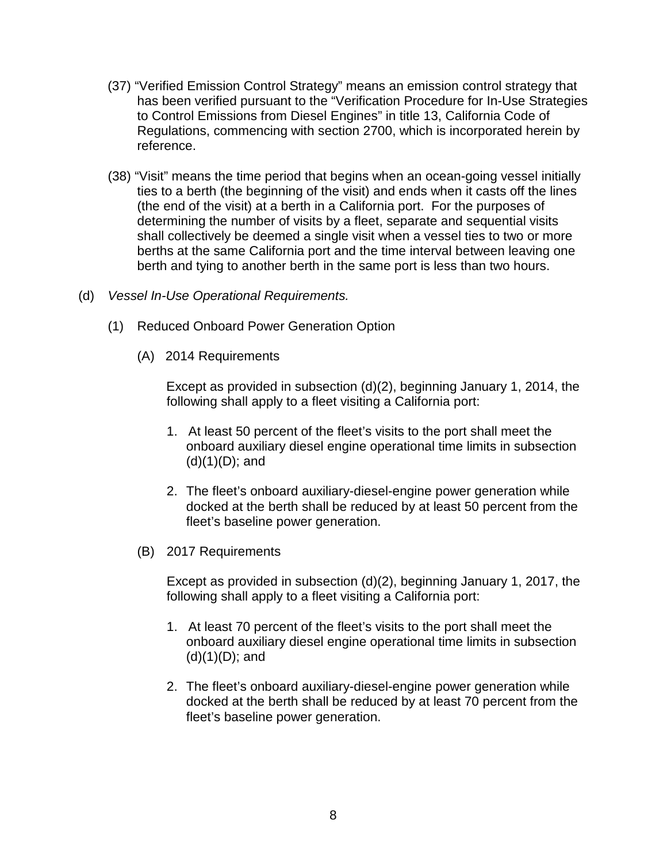- (37) "Verified Emission Control Strategy" means an emission control strategy that has been verified pursuant to the "Verification Procedure for In-Use Strategies to Control Emissions from Diesel Engines" in title 13, California Code of Regulations, commencing with section 2700, which is incorporated herein by reference.
- (38) "Visit" means the time period that begins when an ocean-going vessel initially ties to a berth (the beginning of the visit) and ends when it casts off the lines (the end of the visit) at a berth in a California port. For the purposes of determining the number of visits by a fleet, separate and sequential visits shall collectively be deemed a single visit when a vessel ties to two or more berths at the same California port and the time interval between leaving one berth and tying to another berth in the same port is less than two hours.
- (d) Vessel In-Use Operational Requirements.
	- (1) Reduced Onboard Power Generation Option
		- (A) 2014 Requirements

 Except as provided in subsection (d)(2), beginning January 1, 2014, the following shall apply to a fleet visiting a California port:

- 1. At least 50 percent of the fleet's visits to the port shall meet the onboard auxiliary diesel engine operational time limits in subsection  $(d)(1)(D);$  and
- 2. The fleet's onboard auxiliary-diesel-engine power generation while docked at the berth shall be reduced by at least 50 percent from the fleet's baseline power generation.
- (B) 2017 Requirements

Except as provided in subsection (d)(2), beginning January 1, 2017, the following shall apply to a fleet visiting a California port:

- 1. At least 70 percent of the fleet's visits to the port shall meet the onboard auxiliary diesel engine operational time limits in subsection  $(d)(1)(D);$  and
- 2. The fleet's onboard auxiliary-diesel-engine power generation while docked at the berth shall be reduced by at least 70 percent from the fleet's baseline power generation.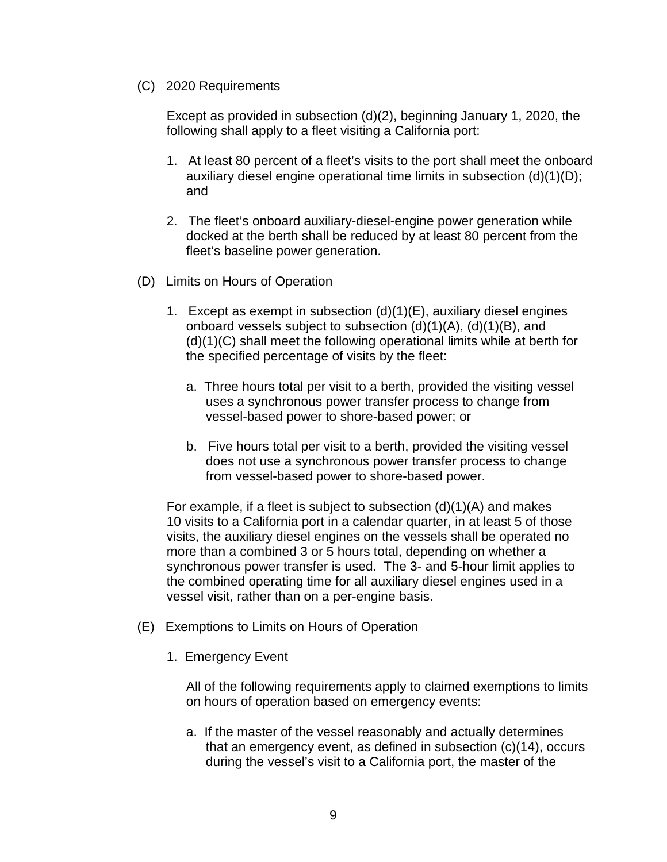(C) 2020 Requirements

 Except as provided in subsection (d)(2), beginning January 1, 2020, the following shall apply to a fleet visiting a California port:

- 1. At least 80 percent of a fleet's visits to the port shall meet the onboard auxiliary diesel engine operational time limits in subsection (d)(1)(D); and
- 2. The fleet's onboard auxiliary-diesel-engine power generation while docked at the berth shall be reduced by at least 80 percent from the fleet's baseline power generation.
- (D) Limits on Hours of Operation
	- 1. Except as exempt in subsection (d)(1)(E), auxiliary diesel engines onboard vessels subject to subsection (d)(1)(A), (d)(1)(B), and (d)(1)(C) shall meet the following operational limits while at berth for the specified percentage of visits by the fleet:
		- a. Three hours total per visit to a berth, provided the visiting vessel uses a synchronous power transfer process to change from vessel-based power to shore-based power; or
		- b. Five hours total per visit to a berth, provided the visiting vessel does not use a synchronous power transfer process to change from vessel-based power to shore-based power.

For example, if a fleet is subject to subsection  $(d)(1)(A)$  and makes 10 visits to a California port in a calendar quarter, in at least 5 of those visits, the auxiliary diesel engines on the vessels shall be operated no more than a combined 3 or 5 hours total, depending on whether a synchronous power transfer is used. The 3- and 5-hour limit applies to the combined operating time for all auxiliary diesel engines used in a vessel visit, rather than on a per-engine basis.

- (E) Exemptions to Limits on Hours of Operation
	- 1. Emergency Event

All of the following requirements apply to claimed exemptions to limits on hours of operation based on emergency events:

a. If the master of the vessel reasonably and actually determines that an emergency event, as defined in subsection (c)(14), occurs during the vessel's visit to a California port, the master of the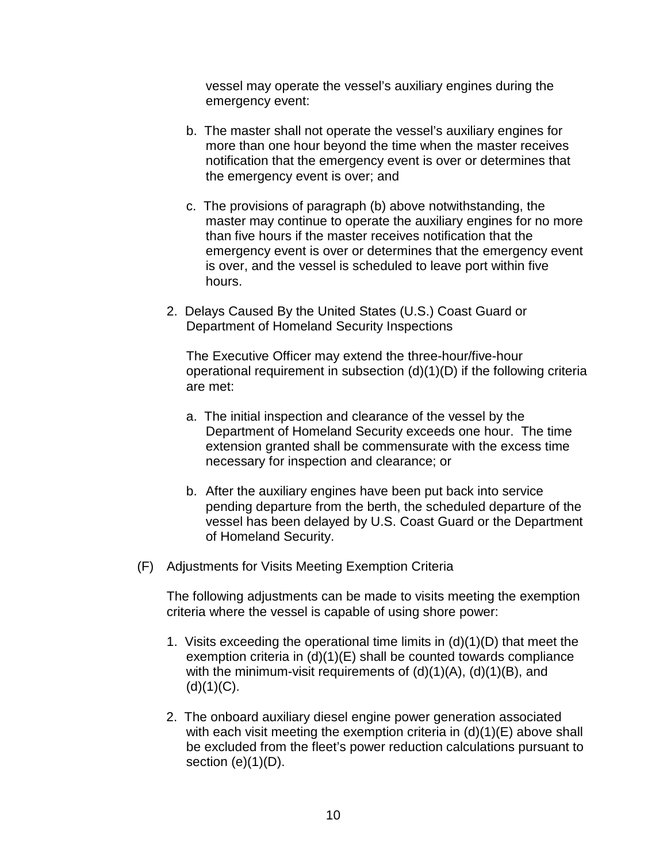vessel may operate the vessel's auxiliary engines during the emergency event:

- b. The master shall not operate the vessel's auxiliary engines for more than one hour beyond the time when the master receives notification that the emergency event is over or determines that the emergency event is over; and
- c. The provisions of paragraph (b) above notwithstanding, the master may continue to operate the auxiliary engines for no more than five hours if the master receives notification that the emergency event is over or determines that the emergency event is over, and the vessel is scheduled to leave port within five hours.
- 2. Delays Caused By the United States (U.S.) Coast Guard or Department of Homeland Security Inspections

The Executive Officer may extend the three-hour/five-hour operational requirement in subsection (d)(1)(D) if the following criteria are met:

- a. The initial inspection and clearance of the vessel by the Department of Homeland Security exceeds one hour. The time extension granted shall be commensurate with the excess time necessary for inspection and clearance; or
- b. After the auxiliary engines have been put back into service pending departure from the berth, the scheduled departure of the vessel has been delayed by U.S. Coast Guard or the Department of Homeland Security.
- (F) Adjustments for Visits Meeting Exemption Criteria

 The following adjustments can be made to visits meeting the exemption criteria where the vessel is capable of using shore power:

- 1. Visits exceeding the operational time limits in (d)(1)(D) that meet the exemption criteria in (d)(1)(E) shall be counted towards compliance with the minimum-visit requirements of (d)(1)(A), (d)(1)(B), and  $(d)(1)(C)$ .
- 2. The onboard auxiliary diesel engine power generation associated with each visit meeting the exemption criteria in (d)(1)(E) above shall be excluded from the fleet's power reduction calculations pursuant to section  $(e)(1)(D)$ .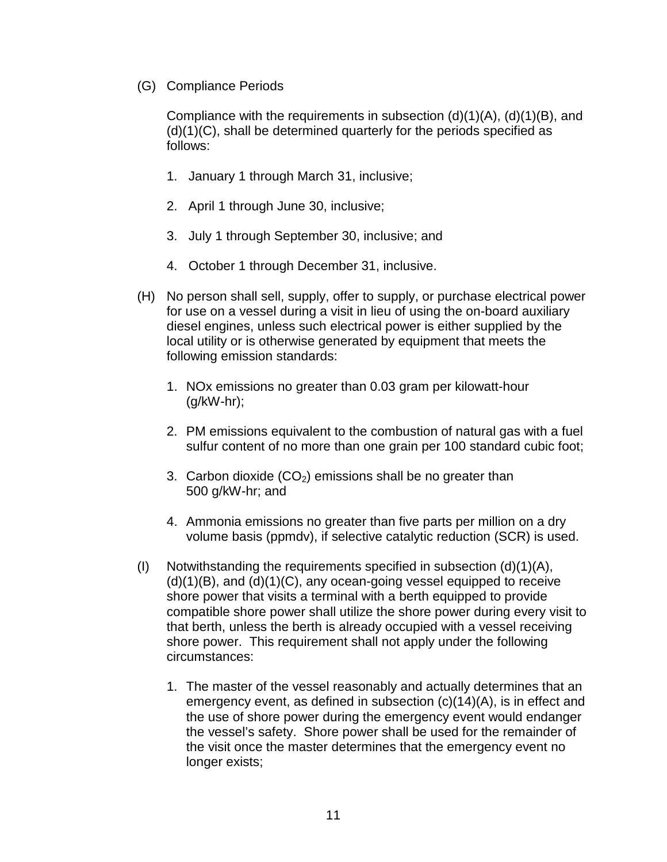(G) Compliance Periods

Compliance with the requirements in subsection  $(d)(1)(A)$ ,  $(d)(1)(B)$ , and (d)(1)(C), shall be determined quarterly for the periods specified as follows:

- 1. January 1 through March 31, inclusive;
- 2. April 1 through June 30, inclusive;
- 3. July 1 through September 30, inclusive; and
- 4. October 1 through December 31, inclusive.
- (H) No person shall sell, supply, offer to supply, or purchase electrical power for use on a vessel during a visit in lieu of using the on-board auxiliary diesel engines, unless such electrical power is either supplied by the local utility or is otherwise generated by equipment that meets the following emission standards:
	- 1. NOx emissions no greater than 0.03 gram per kilowatt-hour (g/kW-hr);
	- 2. PM emissions equivalent to the combustion of natural gas with a fuel sulfur content of no more than one grain per 100 standard cubic foot;
	- 3. Carbon dioxide  $(CO_2)$  emissions shall be no greater than 500 g/kW-hr; and
	- 4. Ammonia emissions no greater than five parts per million on a dry volume basis (ppmdv), if selective catalytic reduction (SCR) is used.
- (I) Notwithstanding the requirements specified in subsection  $(d)(1)(A)$ ,  $(d)(1)(B)$ , and  $(d)(1)(C)$ , any ocean-going vessel equipped to receive shore power that visits a terminal with a berth equipped to provide compatible shore power shall utilize the shore power during every visit to that berth, unless the berth is already occupied with a vessel receiving shore power. This requirement shall not apply under the following circumstances:
	- 1. The master of the vessel reasonably and actually determines that an emergency event, as defined in subsection (c)(14)(A), is in effect and the use of shore power during the emergency event would endanger the vessel's safety. Shore power shall be used for the remainder of the visit once the master determines that the emergency event no longer exists;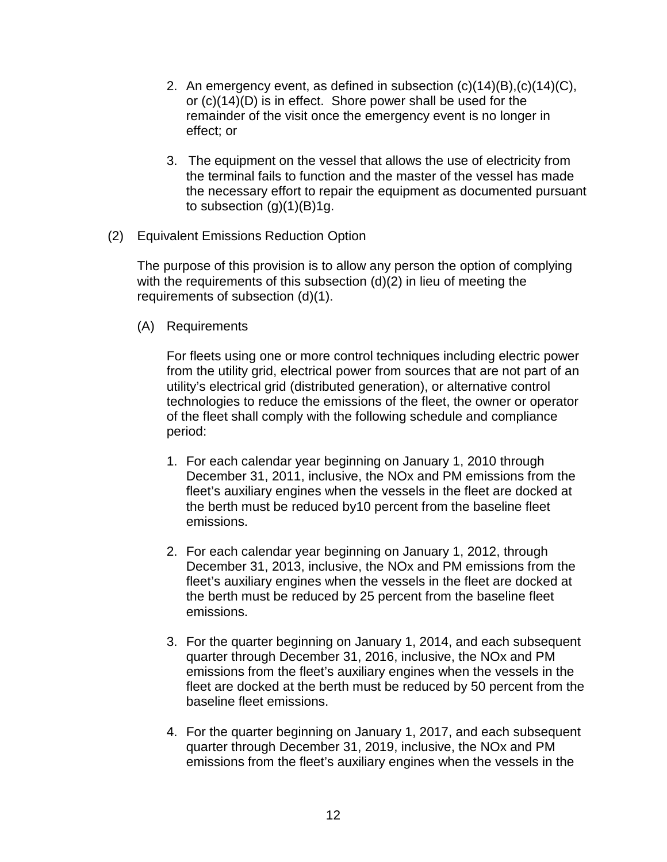- 2. An emergency event, as defined in subsection  $(c)(14)(B)$ ,  $(c)(14)(C)$ , or (c)(14)(D) is in effect. Shore power shall be used for the remainder of the visit once the emergency event is no longer in effect; or
- 3. The equipment on the vessel that allows the use of electricity from the terminal fails to function and the master of the vessel has made the necessary effort to repair the equipment as documented pursuant to subsection  $(q)(1)(B)1q$ .
- (2) Equivalent Emissions Reduction Option

The purpose of this provision is to allow any person the option of complying with the requirements of this subsection (d)(2) in lieu of meeting the requirements of subsection (d)(1).

(A) Requirements

 For fleets using one or more control techniques including electric power from the utility grid, electrical power from sources that are not part of an utility's electrical grid (distributed generation), or alternative control technologies to reduce the emissions of the fleet, the owner or operator of the fleet shall comply with the following schedule and compliance period:

- 1. For each calendar year beginning on January 1, 2010 through December 31, 2011, inclusive, the NOx and PM emissions from the fleet's auxiliary engines when the vessels in the fleet are docked at the berth must be reduced by10 percent from the baseline fleet emissions.
- 2. For each calendar year beginning on January 1, 2012, through December 31, 2013, inclusive, the NOx and PM emissions from the fleet's auxiliary engines when the vessels in the fleet are docked at the berth must be reduced by 25 percent from the baseline fleet emissions.
- 3. For the quarter beginning on January 1, 2014, and each subsequent quarter through December 31, 2016, inclusive, the NOx and PM emissions from the fleet's auxiliary engines when the vessels in the fleet are docked at the berth must be reduced by 50 percent from the baseline fleet emissions.
- 4. For the quarter beginning on January 1, 2017, and each subsequent quarter through December 31, 2019, inclusive, the NOx and PM emissions from the fleet's auxiliary engines when the vessels in the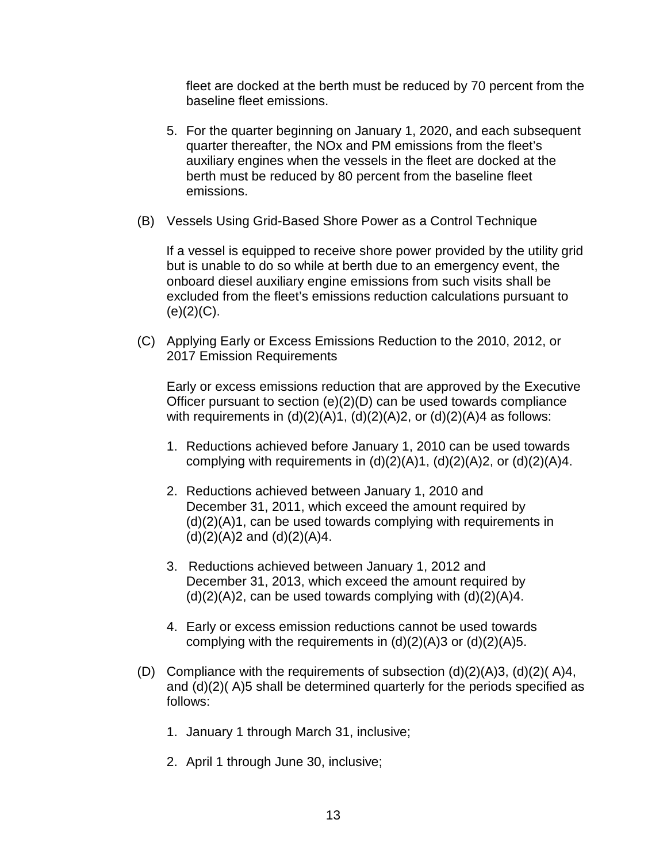fleet are docked at the berth must be reduced by 70 percent from the baseline fleet emissions.

- 5. For the quarter beginning on January 1, 2020, and each subsequent quarter thereafter, the NOx and PM emissions from the fleet's auxiliary engines when the vessels in the fleet are docked at the berth must be reduced by 80 percent from the baseline fleet emissions.
- (B) Vessels Using Grid-Based Shore Power as a Control Technique

 If a vessel is equipped to receive shore power provided by the utility grid but is unable to do so while at berth due to an emergency event, the onboard diesel auxiliary engine emissions from such visits shall be excluded from the fleet's emissions reduction calculations pursuant to  $(e)(2)(C)$ .

(C) Applying Early or Excess Emissions Reduction to the 2010, 2012, or 2017 Emission Requirements

Early or excess emissions reduction that are approved by the Executive Officer pursuant to section (e)(2)(D) can be used towards compliance with requirements in  $(d)(2)(A)1$ ,  $(d)(2)(A)2$ , or  $(d)(2)(A)4$  as follows:

- 1. Reductions achieved before January 1, 2010 can be used towards complying with requirements in  $(d)(2)(A)1$ ,  $(d)(2)(A)2$ , or  $(d)(2)(A)4$ .
- 2. Reductions achieved between January 1, 2010 and December 31, 2011, which exceed the amount required by (d)(2)(A)1, can be used towards complying with requirements in  $(d)(2)(A)2$  and  $(d)(2)(A)4$ .
- 3. Reductions achieved between January 1, 2012 and December 31, 2013, which exceed the amount required by  $(d)(2)(A)2$ , can be used towards complying with  $(d)(2)(A)4$ .
- 4. Early or excess emission reductions cannot be used towards complying with the requirements in  $(d)(2)(A)3$  or  $(d)(2)(A)5$ .
- (D) Compliance with the requirements of subsection  $(d)(2)(A)3$ ,  $(d)(2)(A)4$ , and (d)(2)( A)5 shall be determined quarterly for the periods specified as follows:
	- 1. January 1 through March 31, inclusive;
	- 2. April 1 through June 30, inclusive;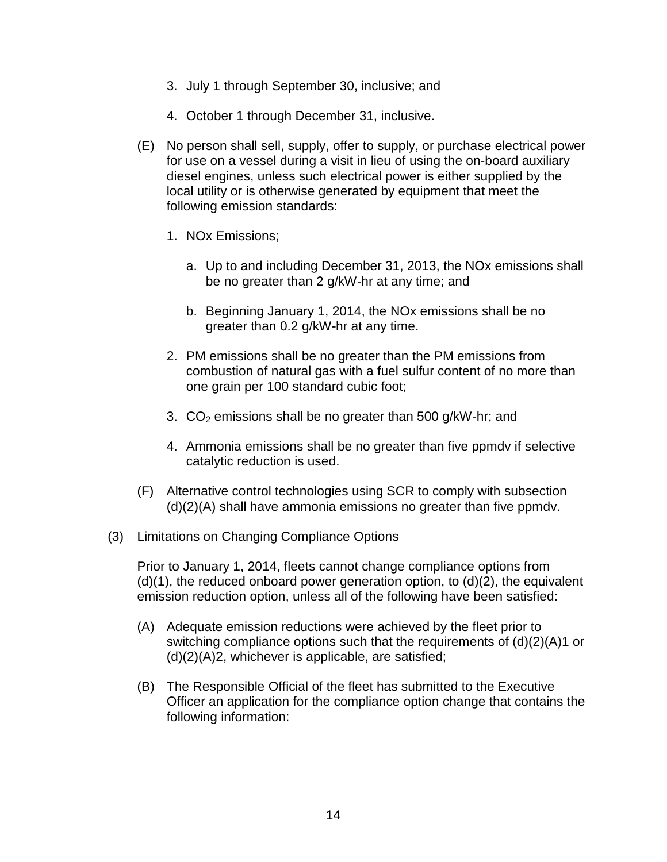- 3. July 1 through September 30, inclusive; and
- 4. October 1 through December 31, inclusive.
- (E) No person shall sell, supply, offer to supply, or purchase electrical power for use on a vessel during a visit in lieu of using the on-board auxiliary diesel engines, unless such electrical power is either supplied by the local utility or is otherwise generated by equipment that meet the following emission standards:
	- 1. NOx Emissions;
		- a. Up to and including December 31, 2013, the NOx emissions shall be no greater than 2 g/kW-hr at any time; and
		- b. Beginning January 1, 2014, the NOx emissions shall be no greater than 0.2 g/kW-hr at any time.
	- 2. PM emissions shall be no greater than the PM emissions from combustion of natural gas with a fuel sulfur content of no more than one grain per 100 standard cubic foot;
	- 3.  $CO<sub>2</sub>$  emissions shall be no greater than 500 g/kW-hr; and
	- 4. Ammonia emissions shall be no greater than five ppmdv if selective catalytic reduction is used.
- (F) Alternative control technologies using SCR to comply with subsection (d)(2)(A) shall have ammonia emissions no greater than five ppmdv.
- (3) Limitations on Changing Compliance Options

 Prior to January 1, 2014, fleets cannot change compliance options from (d)(1), the reduced onboard power generation option, to (d)(2), the equivalent emission reduction option, unless all of the following have been satisfied:

- (A) Adequate emission reductions were achieved by the fleet prior to switching compliance options such that the requirements of (d)(2)(A)1 or  $(d)(2)(A)2$ , whichever is applicable, are satisfied;
- (B) The Responsible Official of the fleet has submitted to the Executive Officer an application for the compliance option change that contains the following information: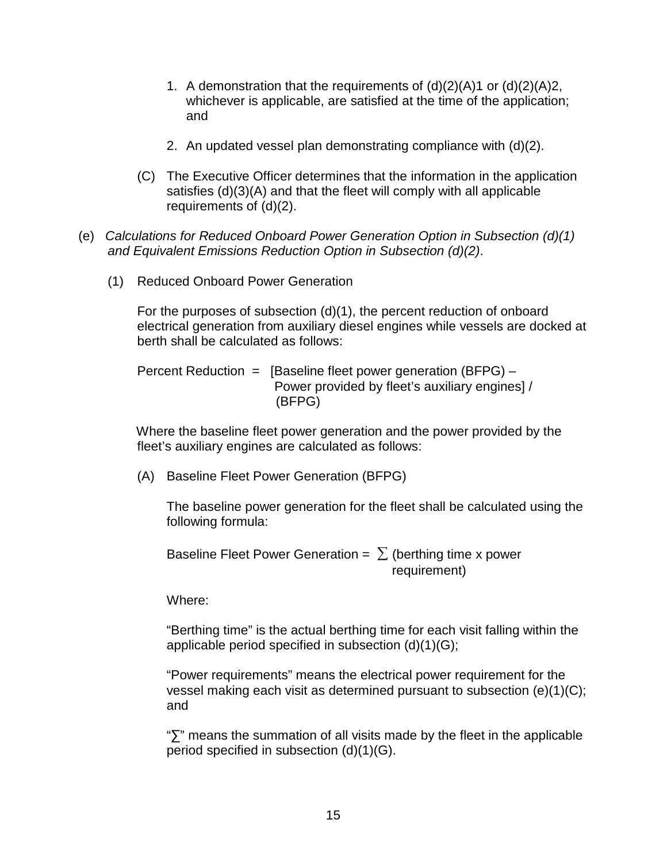- 1. A demonstration that the requirements of  $(d)(2)(A)$  or  $(d)(2)(A)$ 2, whichever is applicable, are satisfied at the time of the application; and
- 2. An updated vessel plan demonstrating compliance with (d)(2).
- (C) The Executive Officer determines that the information in the application satisfies (d)(3)(A) and that the fleet will comply with all applicable requirements of (d)(2).
- (e) Calculations for Reduced Onboard Power Generation Option in Subsection (d)(1) and Equivalent Emissions Reduction Option in Subsection (d)(2).
	- (1) Reduced Onboard Power Generation

For the purposes of subsection (d)(1), the percent reduction of onboard electrical generation from auxiliary diesel engines while vessels are docked at berth shall be calculated as follows:

Percent Reduction  $=$  [Baseline fleet power generation (BFPG)  $-$  Power provided by fleet's auxiliary engines] / (BFPG)

 Where the baseline fleet power generation and the power provided by the fleet's auxiliary engines are calculated as follows:

(A) Baseline Fleet Power Generation (BFPG)

The baseline power generation for the fleet shall be calculated using the following formula:

Baseline Fleet Power Generation =  $\Sigma$  (berthing time x power requirement)

Where:

"Berthing time" is the actual berthing time for each visit falling within the applicable period specified in subsection (d)(1)(G);

"Power requirements" means the electrical power requirement for the vessel making each visit as determined pursuant to subsection (e)(1)(C); and

"∑" means the summation of all visits made by the fleet in the applicable period specified in subsection (d)(1)(G).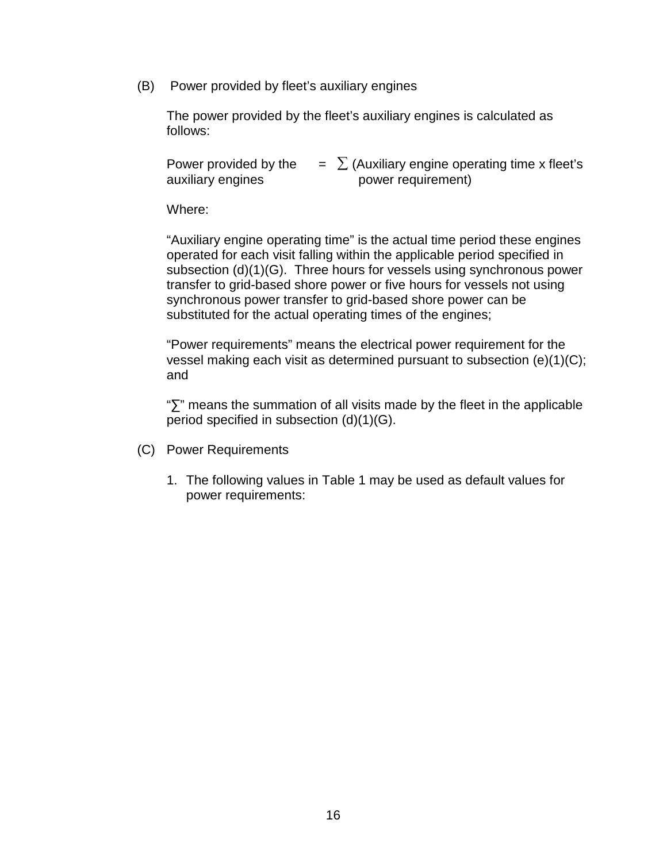(B) Power provided by fleet's auxiliary engines

The power provided by the fleet's auxiliary engines is calculated as follows:

| Power provided by the | $\sum$ (Auxiliary engine operating time x fleet's |
|-----------------------|---------------------------------------------------|
| auxiliary engines     | power requirement)                                |

Where:

"Auxiliary engine operating time" is the actual time period these engines operated for each visit falling within the applicable period specified in subsection (d)(1)(G). Three hours for vessels using synchronous power transfer to grid-based shore power or five hours for vessels not using synchronous power transfer to grid-based shore power can be substituted for the actual operating times of the engines;

"Power requirements" means the electrical power requirement for the vessel making each visit as determined pursuant to subsection (e)(1)(C); and

"∑" means the summation of all visits made by the fleet in the applicable period specified in subsection (d)(1)(G).

- (C) Power Requirements
	- 1. The following values in Table 1 may be used as default values for power requirements: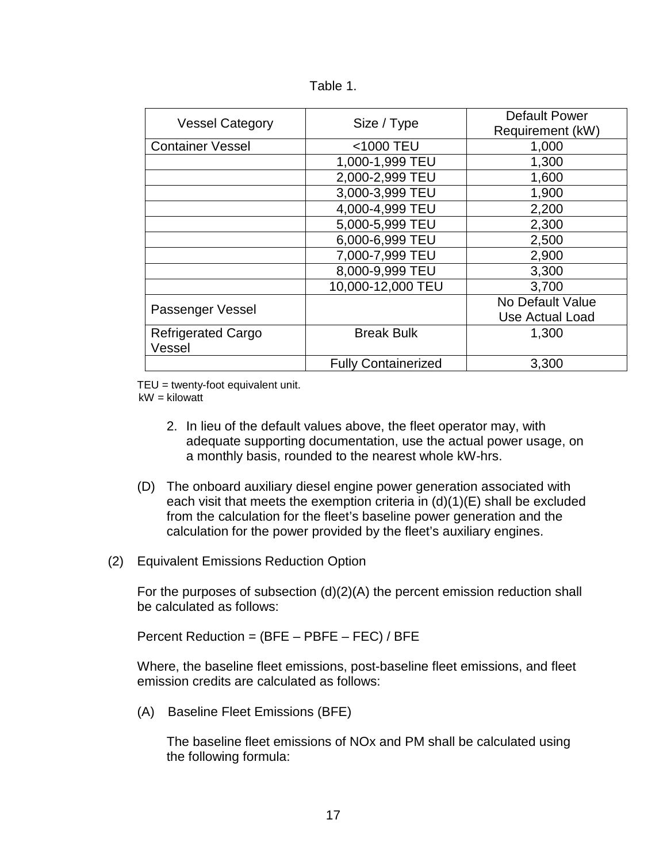| <b>Vessel Category</b>              | Size / Type                | <b>Default Power</b><br>Requirement (kW) |
|-------------------------------------|----------------------------|------------------------------------------|
| <b>Container Vessel</b>             | <1000 TEU                  | 1,000                                    |
|                                     | 1,000-1,999 TEU            | 1,300                                    |
|                                     | 2,000-2,999 TEU            | 1,600                                    |
|                                     | 3,000-3,999 TEU            | 1,900                                    |
|                                     | 4,000-4,999 TEU            | 2,200                                    |
|                                     | 5,000-5,999 TEU            | 2,300                                    |
|                                     | 6,000-6,999 TEU            | 2,500                                    |
|                                     | 7,000-7,999 TEU            | 2,900                                    |
|                                     | 8,000-9,999 TEU            | 3,300                                    |
|                                     | 10,000-12,000 TEU          | 3,700                                    |
| Passenger Vessel                    |                            | No Default Value                         |
|                                     |                            | Use Actual Load                          |
| <b>Refrigerated Cargo</b><br>Vessel | <b>Break Bulk</b>          | 1,300                                    |
|                                     | <b>Fully Containerized</b> | 3,300                                    |

TEU = twenty-foot equivalent unit.

 $kW =$ kilowatt

- 2. In lieu of the default values above, the fleet operator may, with adequate supporting documentation, use the actual power usage, on a monthly basis, rounded to the nearest whole kW-hrs.
- (D) The onboard auxiliary diesel engine power generation associated with each visit that meets the exemption criteria in  $(d)(1)(E)$  shall be excluded from the calculation for the fleet's baseline power generation and the calculation for the power provided by the fleet's auxiliary engines.
- (2) Equivalent Emissions Reduction Option

For the purposes of subsection (d)(2)(A) the percent emission reduction shall be calculated as follows:

Percent Reduction = (BFE – PBFE – FEC) / BFE

Where, the baseline fleet emissions, post-baseline fleet emissions, and fleet emission credits are calculated as follows:

(A) Baseline Fleet Emissions (BFE)

The baseline fleet emissions of NOx and PM shall be calculated using the following formula: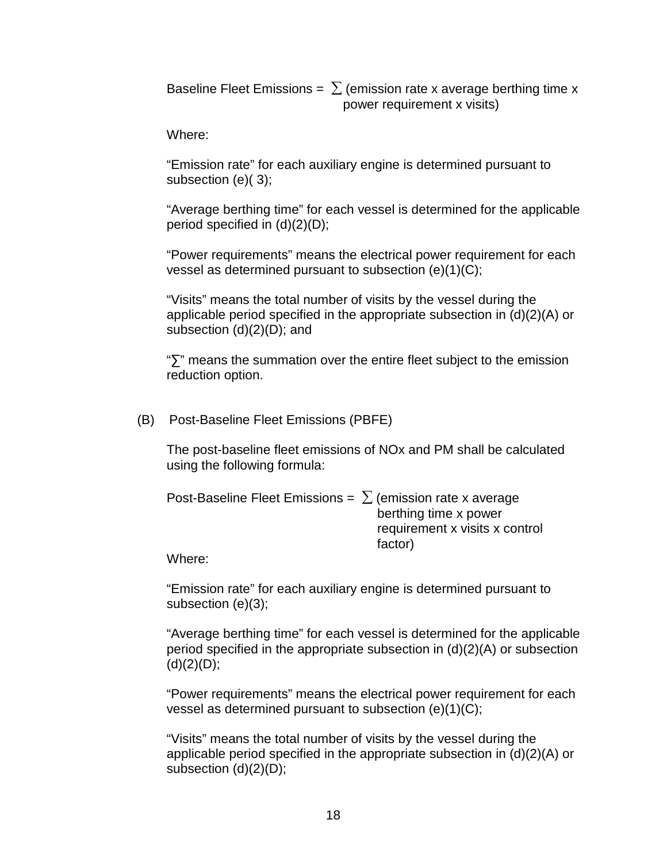Baseline Fleet Emissions =  $\sum$  (emission rate x average berthing time x power requirement x visits)

Where:

"Emission rate" for each auxiliary engine is determined pursuant to subsection (e)( 3);

"Average berthing time" for each vessel is determined for the applicable period specified in (d)(2)(D);

"Power requirements" means the electrical power requirement for each vessel as determined pursuant to subsection (e)(1)(C);

"Visits" means the total number of visits by the vessel during the applicable period specified in the appropriate subsection in (d)(2)(A) or subsection (d)(2)(D); and

"∑" means the summation over the entire fleet subject to the emission reduction option.

(B) Post-Baseline Fleet Emissions (PBFE)

The post-baseline fleet emissions of NOx and PM shall be calculated using the following formula:

| Post-Baseline Fleet Emissions = $\sum$ (emission rate x average |                                |
|-----------------------------------------------------------------|--------------------------------|
|                                                                 | berthing time x power          |
|                                                                 | requirement x visits x control |
|                                                                 | factor)                        |

Where:

"Emission rate" for each auxiliary engine is determined pursuant to subsection (e)(3);

"Average berthing time" for each vessel is determined for the applicable period specified in the appropriate subsection in (d)(2)(A) or subsection  $(d)(2)(D);$ 

"Power requirements" means the electrical power requirement for each vessel as determined pursuant to subsection (e)(1)(C);

"Visits" means the total number of visits by the vessel during the applicable period specified in the appropriate subsection in (d)(2)(A) or subsection (d)(2)(D);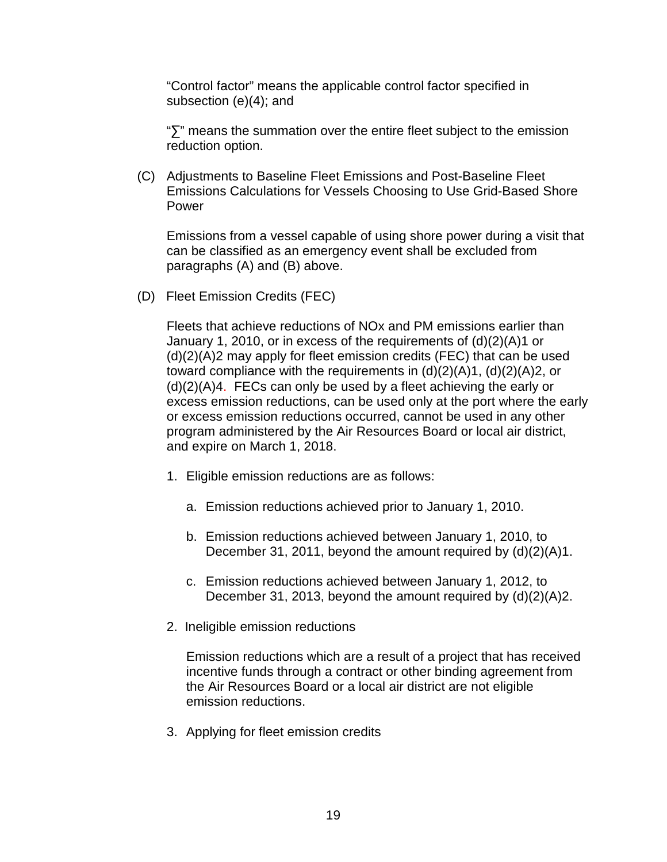"Control factor" means the applicable control factor specified in subsection (e)(4); and

"∑" means the summation over the entire fleet subject to the emission reduction option.

(C) Adjustments to Baseline Fleet Emissions and Post-Baseline Fleet Emissions Calculations for Vessels Choosing to Use Grid-Based Shore Power

Emissions from a vessel capable of using shore power during a visit that can be classified as an emergency event shall be excluded from paragraphs (A) and (B) above.

(D) Fleet Emission Credits (FEC)

 Fleets that achieve reductions of NOx and PM emissions earlier than January 1, 2010, or in excess of the requirements of (d)(2)(A)1 or (d)(2)(A)2 may apply for fleet emission credits (FEC) that can be used toward compliance with the requirements in  $(d)(2)(A)1$ ,  $(d)(2)(A)2$ , or (d)(2)(A)4. FECs can only be used by a fleet achieving the early or excess emission reductions, can be used only at the port where the early or excess emission reductions occurred, cannot be used in any other program administered by the Air Resources Board or local air district, and expire on March 1, 2018.

- 1. Eligible emission reductions are as follows:
	- a. Emission reductions achieved prior to January 1, 2010.
	- b. Emission reductions achieved between January 1, 2010, to December 31, 2011, beyond the amount required by (d)(2)(A)1.
	- c. Emission reductions achieved between January 1, 2012, to December 31, 2013, beyond the amount required by (d)(2)(A)2.
- 2. Ineligible emission reductions

Emission reductions which are a result of a project that has received incentive funds through a contract or other binding agreement from the Air Resources Board or a local air district are not eligible emission reductions.

3. Applying for fleet emission credits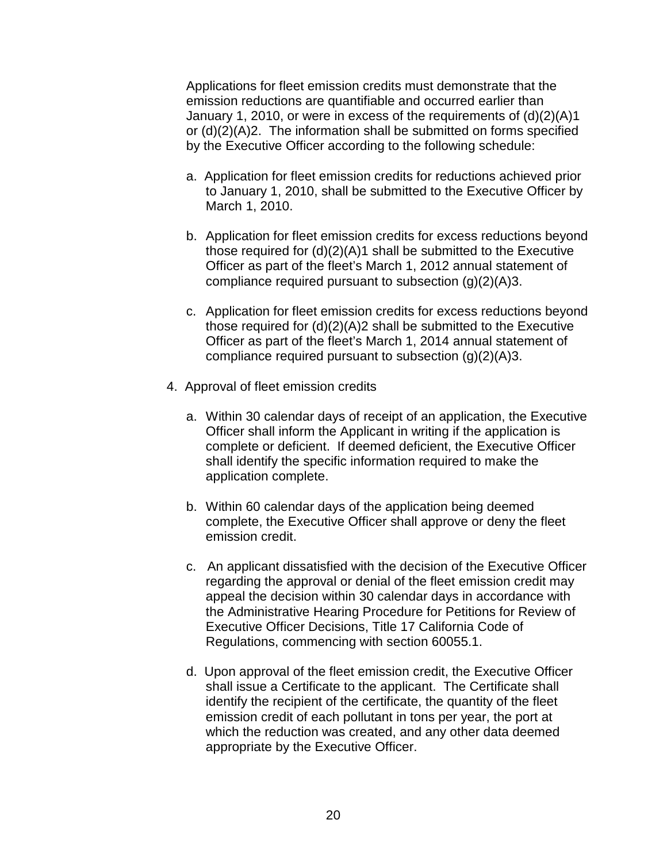Applications for fleet emission credits must demonstrate that the emission reductions are quantifiable and occurred earlier than January 1, 2010, or were in excess of the requirements of (d)(2)(A)1 or (d)(2)(A)2. The information shall be submitted on forms specified by the Executive Officer according to the following schedule:

- a. Application for fleet emission credits for reductions achieved prior to January 1, 2010, shall be submitted to the Executive Officer by March 1, 2010.
- b. Application for fleet emission credits for excess reductions beyond those required for  $(d)(2)(A)$ 1 shall be submitted to the Executive Officer as part of the fleet's March 1, 2012 annual statement of compliance required pursuant to subsection (g)(2)(A)3.
- c. Application for fleet emission credits for excess reductions beyond those required for (d)(2)(A)2 shall be submitted to the Executive Officer as part of the fleet's March 1, 2014 annual statement of compliance required pursuant to subsection (g)(2)(A)3.
- 4. Approval of fleet emission credits
	- a. Within 30 calendar days of receipt of an application, the Executive Officer shall inform the Applicant in writing if the application is complete or deficient. If deemed deficient, the Executive Officer shall identify the specific information required to make the application complete.
	- b. Within 60 calendar days of the application being deemed complete, the Executive Officer shall approve or deny the fleet emission credit.
	- c. An applicant dissatisfied with the decision of the Executive Officer regarding the approval or denial of the fleet emission credit may appeal the decision within 30 calendar days in accordance with the Administrative Hearing Procedure for Petitions for Review of Executive Officer Decisions, Title 17 California Code of Regulations, commencing with section 60055.1.
	- d. Upon approval of the fleet emission credit, the Executive Officer shall issue a Certificate to the applicant. The Certificate shall identify the recipient of the certificate, the quantity of the fleet emission credit of each pollutant in tons per year, the port at which the reduction was created, and any other data deemed appropriate by the Executive Officer.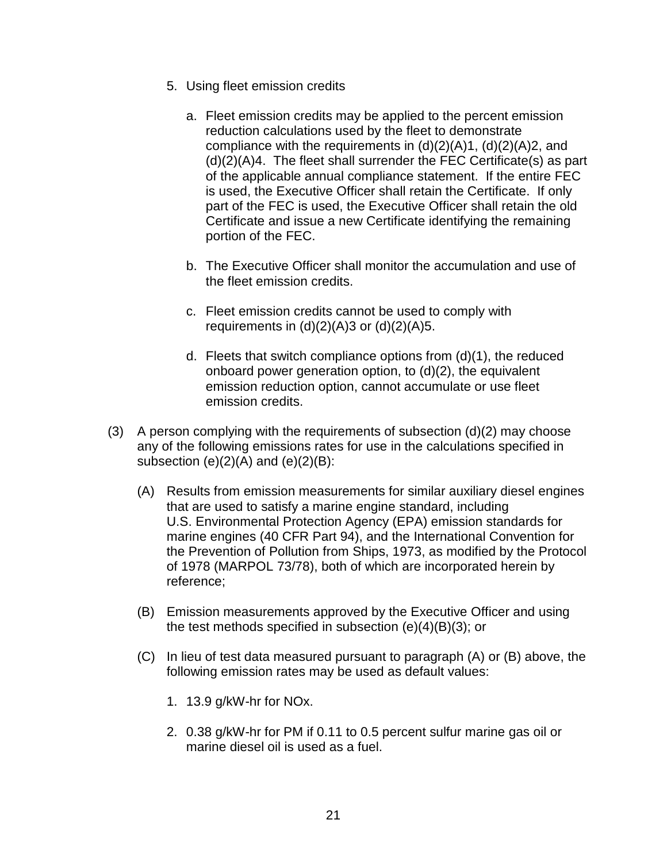- 5. Using fleet emission credits
	- a. Fleet emission credits may be applied to the percent emission reduction calculations used by the fleet to demonstrate compliance with the requirements in  $(d)(2)(A)1$ ,  $(d)(2)(A)2$ , and (d)(2)(A)4. The fleet shall surrender the FEC Certificate(s) as part of the applicable annual compliance statement. If the entire FEC is used, the Executive Officer shall retain the Certificate. If only part of the FEC is used, the Executive Officer shall retain the old Certificate and issue a new Certificate identifying the remaining portion of the FEC.
	- b. The Executive Officer shall monitor the accumulation and use of the fleet emission credits.
	- c. Fleet emission credits cannot be used to comply with requirements in  $(d)(2)(A)3$  or  $(d)(2)(A)5$ .
	- d. Fleets that switch compliance options from (d)(1), the reduced onboard power generation option, to (d)(2), the equivalent emission reduction option, cannot accumulate or use fleet emission credits.
- (3) A person complying with the requirements of subsection  $(d)(2)$  may choose any of the following emissions rates for use in the calculations specified in subsection  $(e)(2)(A)$  and  $(e)(2)(B)$ :
	- (A) Results from emission measurements for similar auxiliary diesel engines that are used to satisfy a marine engine standard, including U.S. Environmental Protection Agency (EPA) emission standards for marine engines (40 CFR Part 94), and the International Convention for the Prevention of Pollution from Ships, 1973, as modified by the Protocol of 1978 (MARPOL 73/78), both of which are incorporated herein by reference;
	- (B) Emission measurements approved by the Executive Officer and using the test methods specified in subsection (e)(4)(B)(3); or
	- (C) In lieu of test data measured pursuant to paragraph (A) or (B) above, the following emission rates may be used as default values:
		- 1. 13.9 g/kW-hr for NOx.
		- 2. 0.38 g/kW-hr for PM if 0.11 to 0.5 percent sulfur marine gas oil or marine diesel oil is used as a fuel.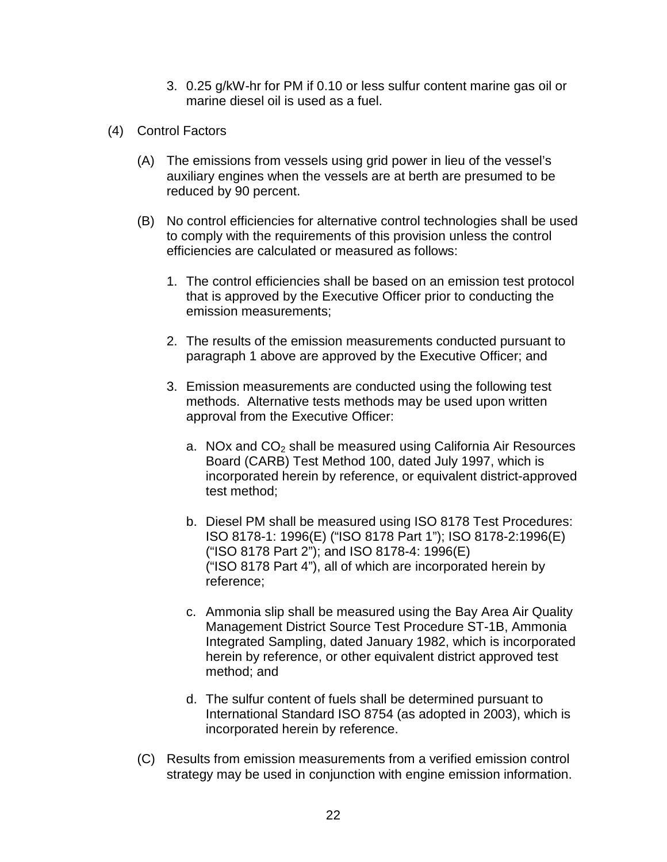- 3. 0.25 g/kW-hr for PM if 0.10 or less sulfur content marine gas oil or marine diesel oil is used as a fuel.
- (4) Control Factors
	- (A) The emissions from vessels using grid power in lieu of the vessel's auxiliary engines when the vessels are at berth are presumed to be reduced by 90 percent.
	- (B) No control efficiencies for alternative control technologies shall be used to comply with the requirements of this provision unless the control efficiencies are calculated or measured as follows:
		- 1. The control efficiencies shall be based on an emission test protocol that is approved by the Executive Officer prior to conducting the emission measurements;
		- 2. The results of the emission measurements conducted pursuant to paragraph 1 above are approved by the Executive Officer; and
		- 3. Emission measurements are conducted using the following test methods. Alternative tests methods may be used upon written approval from the Executive Officer:
			- a. NOx and  $CO<sub>2</sub>$  shall be measured using California Air Resources Board (CARB) Test Method 100, dated July 1997, which is incorporated herein by reference, or equivalent district-approved test method;
			- b. Diesel PM shall be measured using ISO 8178 Test Procedures: ISO 8178-1: 1996(E) ("ISO 8178 Part 1"); ISO 8178-2:1996(E) ("ISO 8178 Part 2"); and ISO 8178-4: 1996(E) ("ISO 8178 Part 4"), all of which are incorporated herein by reference;
			- c. Ammonia slip shall be measured using the Bay Area Air Quality Management District Source Test Procedure ST-1B, Ammonia Integrated Sampling, dated January 1982, which is incorporated herein by reference, or other equivalent district approved test method; and
			- d. The sulfur content of fuels shall be determined pursuant to International Standard ISO 8754 (as adopted in 2003), which is incorporated herein by reference.
	- (C) Results from emission measurements from a verified emission control strategy may be used in conjunction with engine emission information.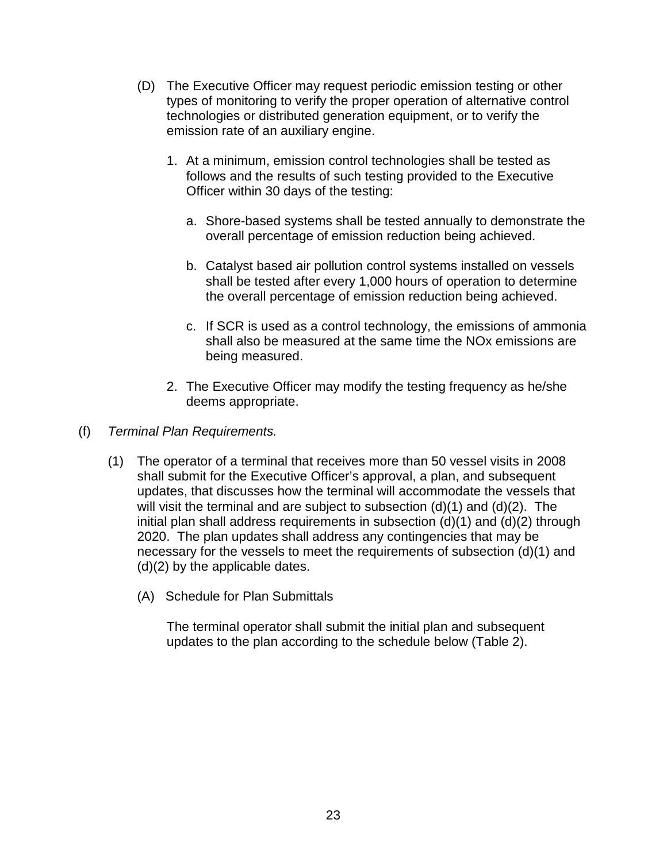- (D) The Executive Officer may request periodic emission testing or other types of monitoring to verify the proper operation of alternative control technologies or distributed generation equipment, or to verify the emission rate of an auxiliary engine.
	- 1. At a minimum, emission control technologies shall be tested as follows and the results of such testing provided to the Executive Officer within 30 days of the testing:
		- a. Shore-based systems shall be tested annually to demonstrate the overall percentage of emission reduction being achieved.
		- b. Catalyst based air pollution control systems installed on vessels shall be tested after every 1,000 hours of operation to determine the overall percentage of emission reduction being achieved.
		- c. If SCR is used as a control technology, the emissions of ammonia shall also be measured at the same time the NOx emissions are being measured.
	- 2. The Executive Officer may modify the testing frequency as he/she deems appropriate.
- (f) Terminal Plan Requirements.
	- (1) The operator of a terminal that receives more than 50 vessel visits in 2008 shall submit for the Executive Officer's approval, a plan, and subsequent updates, that discusses how the terminal will accommodate the vessels that will visit the terminal and are subject to subsection  $(d)(1)$  and  $(d)(2)$ . The initial plan shall address requirements in subsection (d)(1) and (d)(2) through 2020. The plan updates shall address any contingencies that may be necessary for the vessels to meet the requirements of subsection (d)(1) and (d)(2) by the applicable dates.
		- (A) Schedule for Plan Submittals

 The terminal operator shall submit the initial plan and subsequent updates to the plan according to the schedule below (Table 2).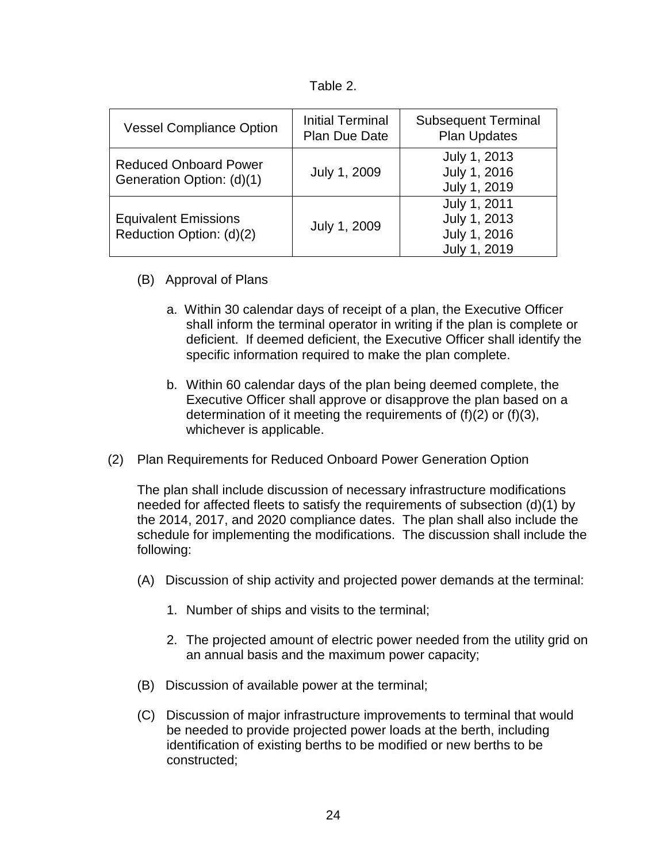| able: |  |  |
|-------|--|--|
|-------|--|--|

| <b>Vessel Compliance Option</b>                           | <b>Initial Terminal</b><br><b>Plan Due Date</b> | <b>Subsequent Terminal</b><br><b>Plan Updates</b>            |
|-----------------------------------------------------------|-------------------------------------------------|--------------------------------------------------------------|
| <b>Reduced Onboard Power</b><br>Generation Option: (d)(1) | July 1, 2009                                    | July 1, 2013<br>July 1, 2016<br>July 1, 2019                 |
| <b>Equivalent Emissions</b><br>Reduction Option: (d)(2)   | July 1, 2009                                    | July 1, 2011<br>July 1, 2013<br>July 1, 2016<br>July 1, 2019 |

- (B) Approval of Plans
	- a. Within 30 calendar days of receipt of a plan, the Executive Officer shall inform the terminal operator in writing if the plan is complete or deficient. If deemed deficient, the Executive Officer shall identify the specific information required to make the plan complete.
	- b. Within 60 calendar days of the plan being deemed complete, the Executive Officer shall approve or disapprove the plan based on a determination of it meeting the requirements of (f)(2) or (f)(3), whichever is applicable.
- (2) Plan Requirements for Reduced Onboard Power Generation Option

The plan shall include discussion of necessary infrastructure modifications needed for affected fleets to satisfy the requirements of subsection (d)(1) by the 2014, 2017, and 2020 compliance dates. The plan shall also include the schedule for implementing the modifications. The discussion shall include the following:

- (A) Discussion of ship activity and projected power demands at the terminal:
	- 1. Number of ships and visits to the terminal;
	- 2. The projected amount of electric power needed from the utility grid on an annual basis and the maximum power capacity;
- (B) Discussion of available power at the terminal;
- (C) Discussion of major infrastructure improvements to terminal that would be needed to provide projected power loads at the berth, including identification of existing berths to be modified or new berths to be constructed;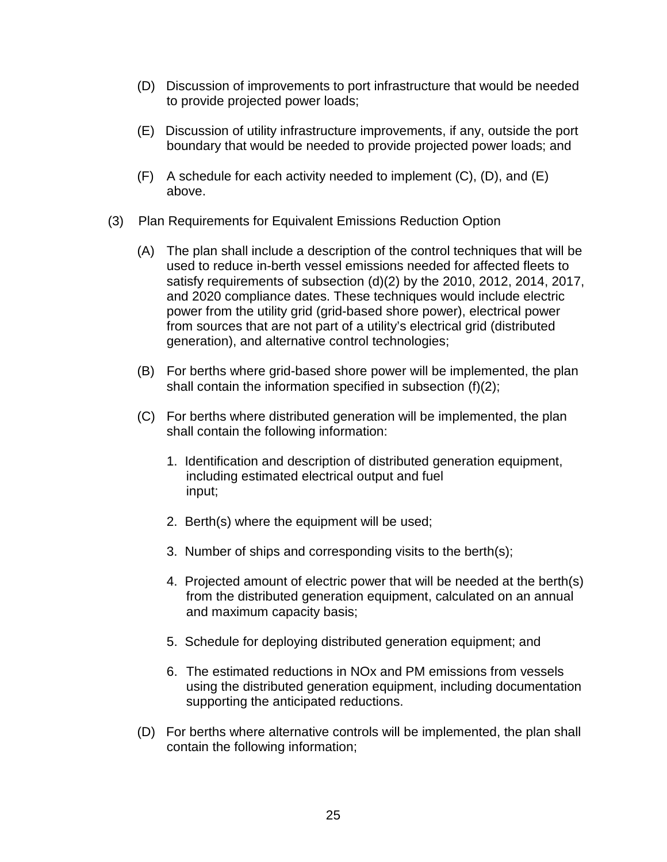- (D) Discussion of improvements to port infrastructure that would be needed to provide projected power loads;
- (E) Discussion of utility infrastructure improvements, if any, outside the port boundary that would be needed to provide projected power loads; and
- $(F)$  A schedule for each activity needed to implement  $(C)$ ,  $(D)$ , and  $(E)$ above.
- (3) Plan Requirements for Equivalent Emissions Reduction Option
	- (A) The plan shall include a description of the control techniques that will be used to reduce in-berth vessel emissions needed for affected fleets to satisfy requirements of subsection (d)(2) by the 2010, 2012, 2014, 2017, and 2020 compliance dates. These techniques would include electric power from the utility grid (grid-based shore power), electrical power from sources that are not part of a utility's electrical grid (distributed generation), and alternative control technologies;
	- (B) For berths where grid-based shore power will be implemented, the plan shall contain the information specified in subsection (f)(2);
	- (C) For berths where distributed generation will be implemented, the plan shall contain the following information:
		- 1. Identification and description of distributed generation equipment, including estimated electrical output and fuel input;
		- 2. Berth(s) where the equipment will be used;
		- 3. Number of ships and corresponding visits to the berth(s);
		- 4. Projected amount of electric power that will be needed at the berth(s) from the distributed generation equipment, calculated on an annual and maximum capacity basis;
		- 5. Schedule for deploying distributed generation equipment; and
		- 6. The estimated reductions in NOx and PM emissions from vessels using the distributed generation equipment, including documentation supporting the anticipated reductions.
	- (D) For berths where alternative controls will be implemented, the plan shall contain the following information;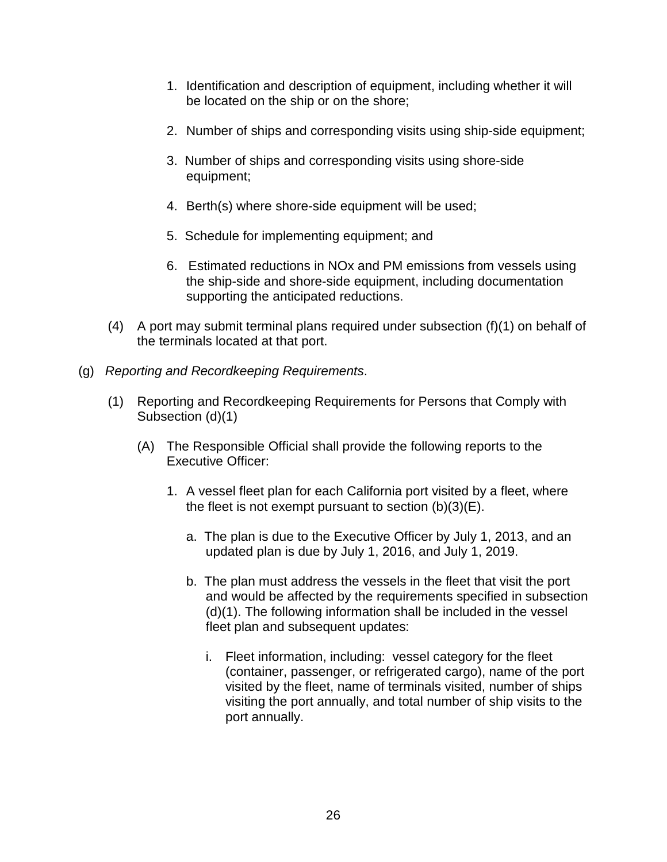- 1. Identification and description of equipment, including whether it will be located on the ship or on the shore;
- 2. Number of ships and corresponding visits using ship-side equipment;
- 3. Number of ships and corresponding visits using shore-side equipment;
- 4. Berth(s) where shore-side equipment will be used;
- 5. Schedule for implementing equipment; and
- 6. Estimated reductions in NOx and PM emissions from vessels using the ship-side and shore-side equipment, including documentation supporting the anticipated reductions.
- (4) A port may submit terminal plans required under subsection (f)(1) on behalf of the terminals located at that port.
- (g) Reporting and Recordkeeping Requirements.
	- (1) Reporting and Recordkeeping Requirements for Persons that Comply with Subsection (d)(1)
		- (A) The Responsible Official shall provide the following reports to the Executive Officer:
			- 1. A vessel fleet plan for each California port visited by a fleet, where the fleet is not exempt pursuant to section  $(b)(3)(E)$ .
				- a. The plan is due to the Executive Officer by July 1, 2013, and an updated plan is due by July 1, 2016, and July 1, 2019.
				- b. The plan must address the vessels in the fleet that visit the port and would be affected by the requirements specified in subsection (d)(1). The following information shall be included in the vessel fleet plan and subsequent updates:
					- i. Fleet information, including: vessel category for the fleet (container, passenger, or refrigerated cargo), name of the port visited by the fleet, name of terminals visited, number of ships visiting the port annually, and total number of ship visits to the port annually.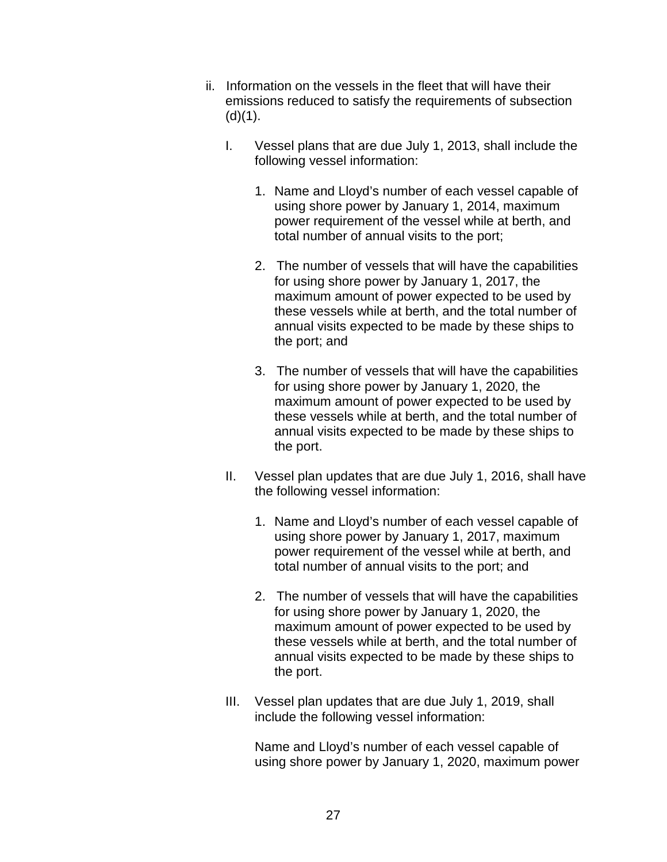- ii. Information on the vessels in the fleet that will have their emissions reduced to satisfy the requirements of subsection  $(d)(1)$ .
	- I. Vessel plans that are due July 1, 2013, shall include the following vessel information:
		- 1. Name and Lloyd's number of each vessel capable of using shore power by January 1, 2014, maximum power requirement of the vessel while at berth, and total number of annual visits to the port;
		- 2. The number of vessels that will have the capabilities for using shore power by January 1, 2017, the maximum amount of power expected to be used by these vessels while at berth, and the total number of annual visits expected to be made by these ships to the port; and
		- 3. The number of vessels that will have the capabilities for using shore power by January 1, 2020, the maximum amount of power expected to be used by these vessels while at berth, and the total number of annual visits expected to be made by these ships to the port.
	- II. Vessel plan updates that are due July 1, 2016, shall have the following vessel information:
		- 1. Name and Lloyd's number of each vessel capable of using shore power by January 1, 2017, maximum power requirement of the vessel while at berth, and total number of annual visits to the port; and
		- 2. The number of vessels that will have the capabilities for using shore power by January 1, 2020, the maximum amount of power expected to be used by these vessels while at berth, and the total number of annual visits expected to be made by these ships to the port.
	- III. Vessel plan updates that are due July 1, 2019, shall include the following vessel information:

 Name and Lloyd's number of each vessel capable of using shore power by January 1, 2020, maximum power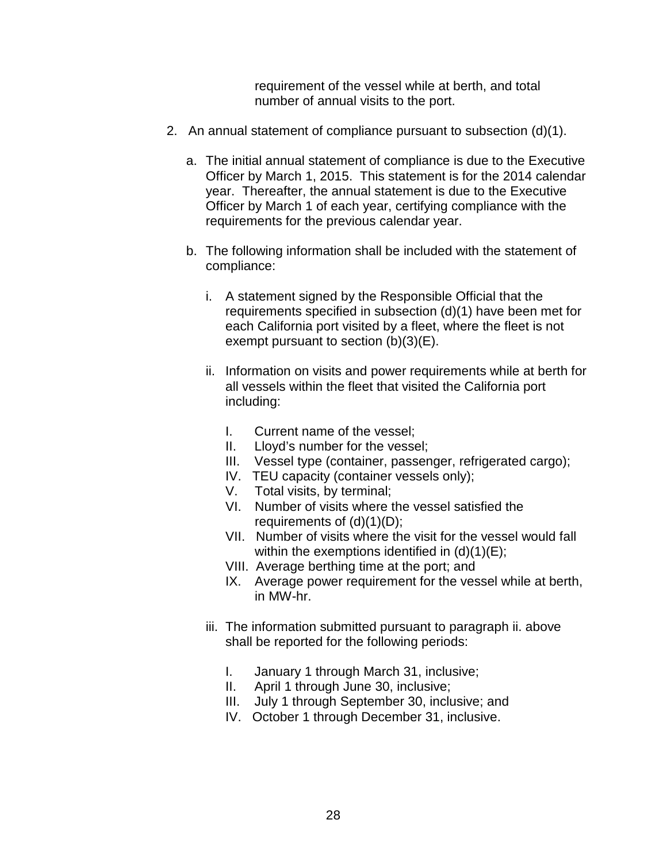requirement of the vessel while at berth, and total number of annual visits to the port.

- 2. An annual statement of compliance pursuant to subsection (d)(1).
	- a. The initial annual statement of compliance is due to the Executive Officer by March 1, 2015. This statement is for the 2014 calendar year. Thereafter, the annual statement is due to the Executive Officer by March 1 of each year, certifying compliance with the requirements for the previous calendar year.
	- b. The following information shall be included with the statement of compliance:
		- i. A statement signed by the Responsible Official that the requirements specified in subsection (d)(1) have been met for each California port visited by a fleet, where the fleet is not exempt pursuant to section (b)(3)(E).
		- ii. Information on visits and power requirements while at berth for all vessels within the fleet that visited the California port including:
			- I. Current name of the vessel;
			- II. Lloyd's number for the vessel;
			- III. Vessel type (container, passenger, refrigerated cargo);
			- IV. TEU capacity (container vessels only);
			- V. Total visits, by terminal;
			- VI. Number of visits where the vessel satisfied the requirements of (d)(1)(D);
			- VII. Number of visits where the visit for the vessel would fall within the exemptions identified in  $(d)(1)(E)$ ;
			- VIII. Average berthing time at the port; and
			- IX. Average power requirement for the vessel while at berth, in MW-hr.
		- iii. The information submitted pursuant to paragraph ii. above shall be reported for the following periods:
			- I. January 1 through March 31, inclusive;
			- II. April 1 through June 30, inclusive;
			- III. July 1 through September 30, inclusive; and
			- IV. October 1 through December 31, inclusive.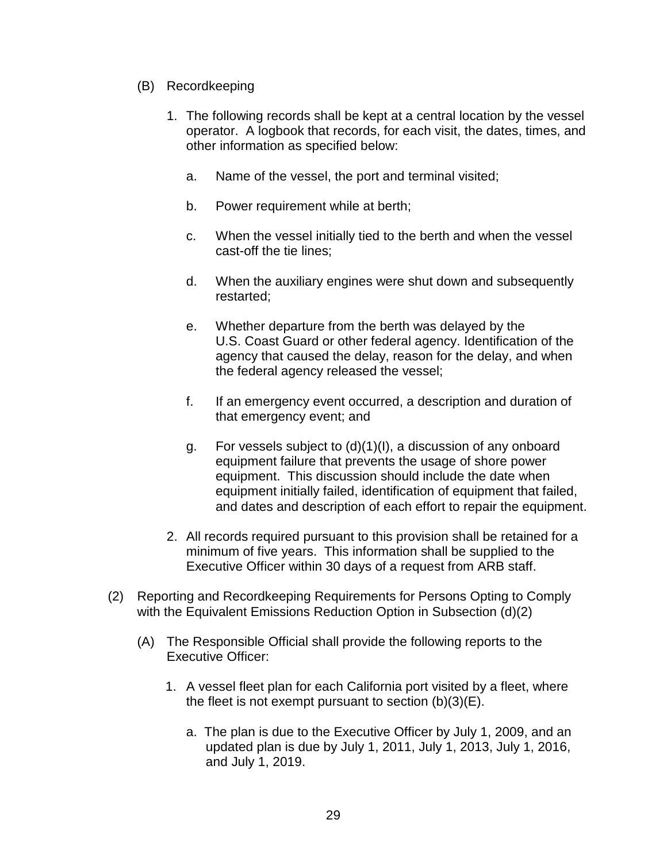- (B) Recordkeeping
	- 1. The following records shall be kept at a central location by the vessel operator. A logbook that records, for each visit, the dates, times, and other information as specified below:
		- a. Name of the vessel, the port and terminal visited;
		- b. Power requirement while at berth;
		- c. When the vessel initially tied to the berth and when the vessel cast-off the tie lines;
		- d. When the auxiliary engines were shut down and subsequently restarted;
		- e. Whether departure from the berth was delayed by the U.S. Coast Guard or other federal agency. Identification of the agency that caused the delay, reason for the delay, and when the federal agency released the vessel;
		- f. If an emergency event occurred, a description and duration of that emergency event; and
		- g. For vessels subject to (d)(1)(I), a discussion of any onboard equipment failure that prevents the usage of shore power equipment. This discussion should include the date when equipment initially failed, identification of equipment that failed, and dates and description of each effort to repair the equipment.
	- 2. All records required pursuant to this provision shall be retained for a minimum of five years. This information shall be supplied to the Executive Officer within 30 days of a request from ARB staff.
- (2) Reporting and Recordkeeping Requirements for Persons Opting to Comply with the Equivalent Emissions Reduction Option in Subsection (d)(2)
	- (A) The Responsible Official shall provide the following reports to the Executive Officer:
		- 1. A vessel fleet plan for each California port visited by a fleet, where the fleet is not exempt pursuant to section  $(b)(3)(E)$ .
			- a. The plan is due to the Executive Officer by July 1, 2009, and an updated plan is due by July 1, 2011, July 1, 2013, July 1, 2016, and July 1, 2019.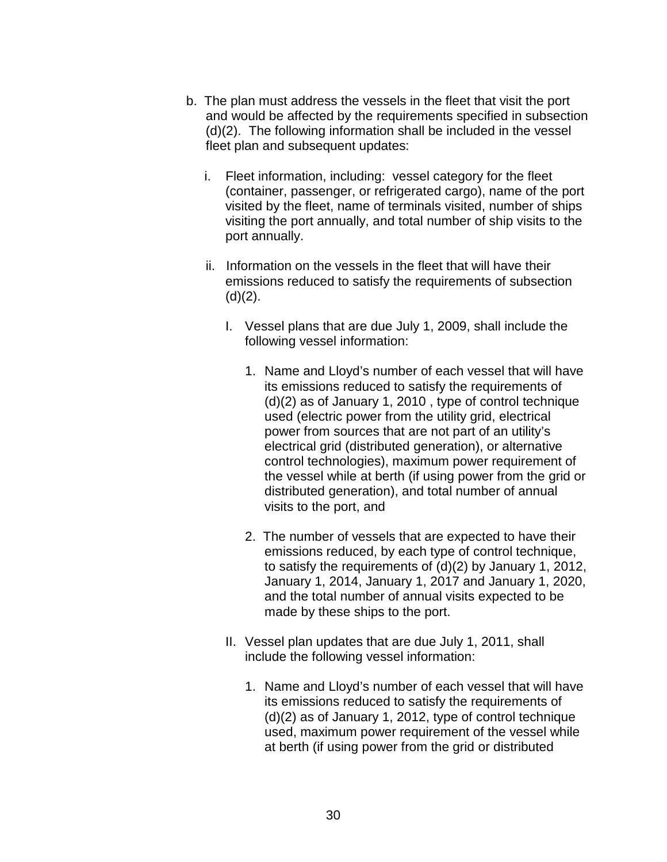- b. The plan must address the vessels in the fleet that visit the port and would be affected by the requirements specified in subsection (d)(2). The following information shall be included in the vessel fleet plan and subsequent updates:
	- i. Fleet information, including: vessel category for the fleet (container, passenger, or refrigerated cargo), name of the port visited by the fleet, name of terminals visited, number of ships visiting the port annually, and total number of ship visits to the port annually.
	- ii. Information on the vessels in the fleet that will have their emissions reduced to satisfy the requirements of subsection  $(d)(2)$ .
		- I. Vessel plans that are due July 1, 2009, shall include the following vessel information:
			- 1. Name and Lloyd's number of each vessel that will have its emissions reduced to satisfy the requirements of (d)(2) as of January 1, 2010 , type of control technique used (electric power from the utility grid, electrical power from sources that are not part of an utility's electrical grid (distributed generation), or alternative control technologies), maximum power requirement of the vessel while at berth (if using power from the grid or distributed generation), and total number of annual visits to the port, and
			- 2. The number of vessels that are expected to have their emissions reduced, by each type of control technique, to satisfy the requirements of (d)(2) by January 1, 2012, January 1, 2014, January 1, 2017 and January 1, 2020, and the total number of annual visits expected to be made by these ships to the port.
		- II. Vessel plan updates that are due July 1, 2011, shall include the following vessel information:
			- 1. Name and Lloyd's number of each vessel that will have its emissions reduced to satisfy the requirements of (d)(2) as of January 1, 2012, type of control technique used, maximum power requirement of the vessel while at berth (if using power from the grid or distributed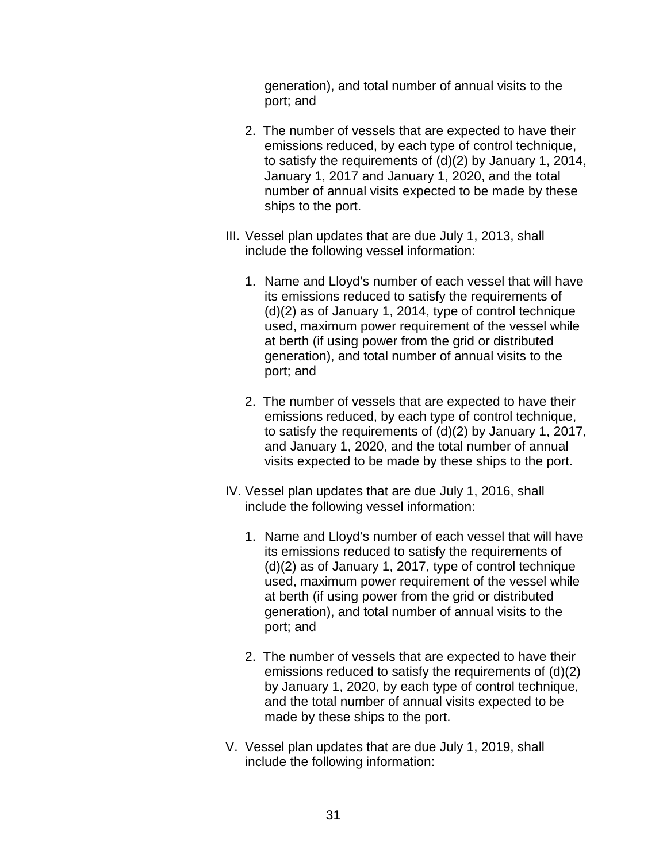generation), and total number of annual visits to the port; and

- 2. The number of vessels that are expected to have their emissions reduced, by each type of control technique, to satisfy the requirements of (d)(2) by January 1, 2014, January 1, 2017 and January 1, 2020, and the total number of annual visits expected to be made by these ships to the port.
- III. Vessel plan updates that are due July 1, 2013, shall include the following vessel information:
	- 1. Name and Lloyd's number of each vessel that will have its emissions reduced to satisfy the requirements of (d)(2) as of January 1, 2014, type of control technique used, maximum power requirement of the vessel while at berth (if using power from the grid or distributed generation), and total number of annual visits to the port; and
	- 2. The number of vessels that are expected to have their emissions reduced, by each type of control technique, to satisfy the requirements of (d)(2) by January 1, 2017, and January 1, 2020, and the total number of annual visits expected to be made by these ships to the port.
- IV. Vessel plan updates that are due July 1, 2016, shall include the following vessel information:
	- 1. Name and Lloyd's number of each vessel that will have its emissions reduced to satisfy the requirements of (d)(2) as of January 1, 2017, type of control technique used, maximum power requirement of the vessel while at berth (if using power from the grid or distributed generation), and total number of annual visits to the port; and
	- 2. The number of vessels that are expected to have their emissions reduced to satisfy the requirements of (d)(2) by January 1, 2020, by each type of control technique, and the total number of annual visits expected to be made by these ships to the port.
- V. Vessel plan updates that are due July 1, 2019, shall include the following information: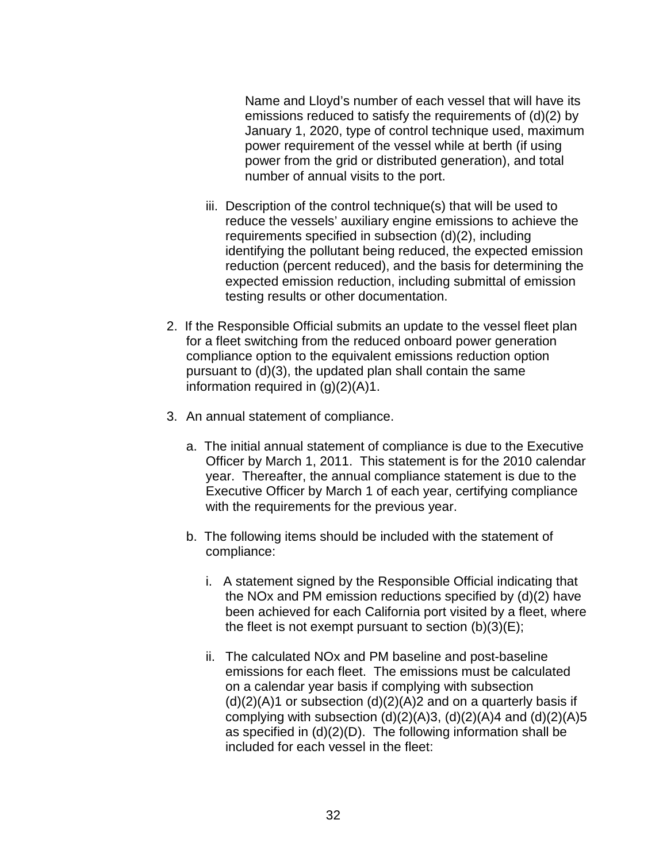Name and Lloyd's number of each vessel that will have its emissions reduced to satisfy the requirements of (d)(2) by January 1, 2020, type of control technique used, maximum power requirement of the vessel while at berth (if using power from the grid or distributed generation), and total number of annual visits to the port.

- iii. Description of the control technique(s) that will be used to reduce the vessels' auxiliary engine emissions to achieve the requirements specified in subsection (d)(2), including identifying the pollutant being reduced, the expected emission reduction (percent reduced), and the basis for determining the expected emission reduction, including submittal of emission testing results or other documentation.
- 2. If the Responsible Official submits an update to the vessel fleet plan for a fleet switching from the reduced onboard power generation compliance option to the equivalent emissions reduction option pursuant to (d)(3), the updated plan shall contain the same information required in  $(g)(2)(A)1$ .
- 3. An annual statement of compliance.
	- a. The initial annual statement of compliance is due to the Executive Officer by March 1, 2011. This statement is for the 2010 calendar year. Thereafter, the annual compliance statement is due to the Executive Officer by March 1 of each year, certifying compliance with the requirements for the previous year.
	- b. The following items should be included with the statement of compliance:
		- i. A statement signed by the Responsible Official indicating that the NOx and PM emission reductions specified by (d)(2) have been achieved for each California port visited by a fleet, where the fleet is not exempt pursuant to section  $(b)(3)(E)$ ;
		- ii. The calculated NOx and PM baseline and post-baseline emissions for each fleet. The emissions must be calculated on a calendar year basis if complying with subsection  $(d)(2)(A)$ 1 or subsection  $(d)(2)(A)$ 2 and on a quarterly basis if complying with subsection  $(d)(2)(A)3$ ,  $(d)(2)(A)4$  and  $(d)(2)(A)5$ as specified in (d)(2)(D). The following information shall be included for each vessel in the fleet: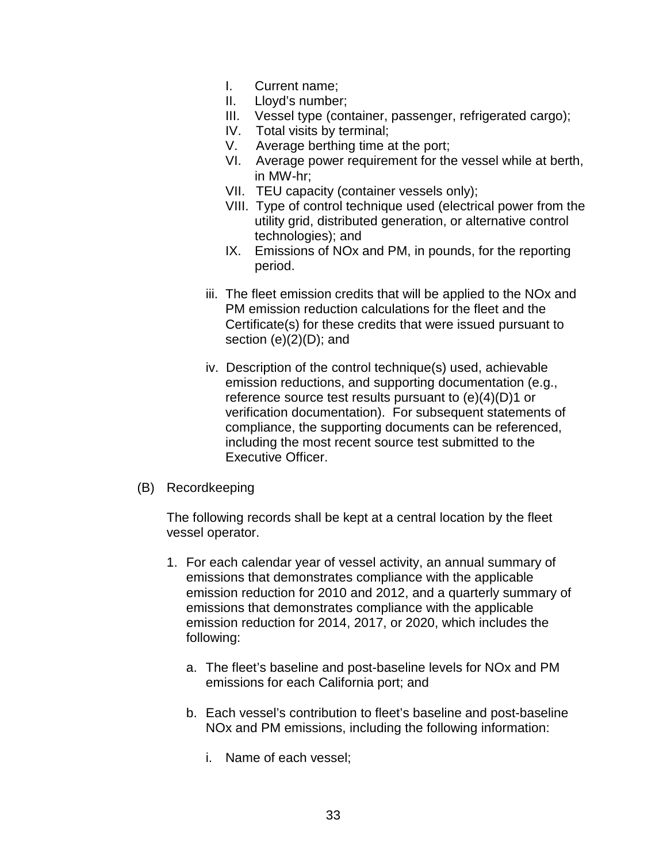- I. Current name;
- II. Lloyd's number;
- III. Vessel type (container, passenger, refrigerated cargo);
- IV. Total visits by terminal;
- V. Average berthing time at the port;
- VI. Average power requirement for the vessel while at berth, in MW-hr;
- VII. TEU capacity (container vessels only);
- VIII. Type of control technique used (electrical power from the utility grid, distributed generation, or alternative control technologies); and
- IX. Emissions of NOx and PM, in pounds, for the reporting period.
- iii. The fleet emission credits that will be applied to the NOx and PM emission reduction calculations for the fleet and the Certificate(s) for these credits that were issued pursuant to section  $(e)(2)(D)$ ; and
- iv. Description of the control technique(s) used, achievable emission reductions, and supporting documentation (e.g., reference source test results pursuant to (e)(4)(D)1 or verification documentation). For subsequent statements of compliance, the supporting documents can be referenced, including the most recent source test submitted to the Executive Officer.
- (B) Recordkeeping

The following records shall be kept at a central location by the fleet vessel operator.

- 1. For each calendar year of vessel activity, an annual summary of emissions that demonstrates compliance with the applicable emission reduction for 2010 and 2012, and a quarterly summary of emissions that demonstrates compliance with the applicable emission reduction for 2014, 2017, or 2020, which includes the following:
	- a. The fleet's baseline and post-baseline levels for NOx and PM emissions for each California port; and
	- b. Each vessel's contribution to fleet's baseline and post-baseline NOx and PM emissions, including the following information:
		- i. Name of each vessel;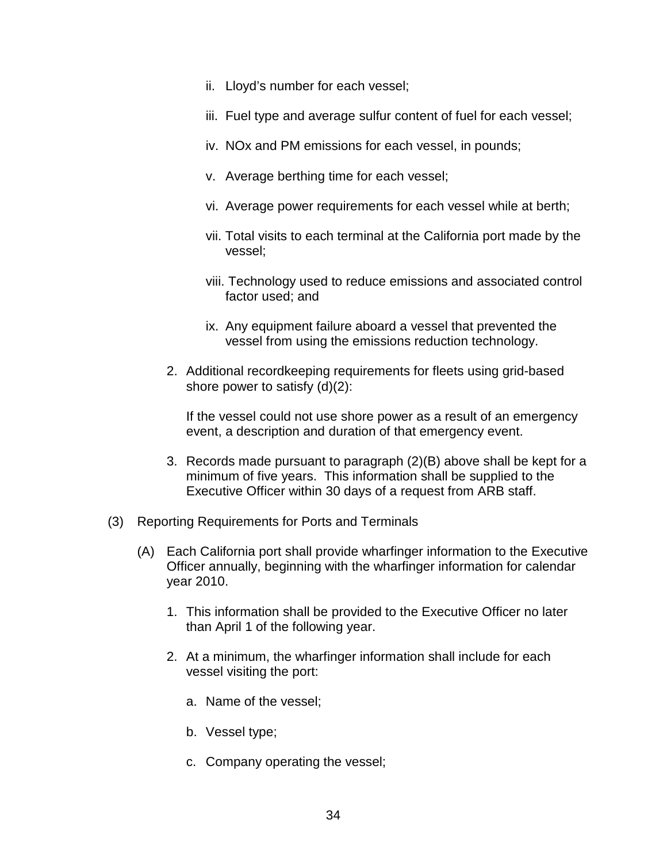- ii. Lloyd's number for each vessel;
- iii. Fuel type and average sulfur content of fuel for each vessel;
- iv. NOx and PM emissions for each vessel, in pounds;
- v. Average berthing time for each vessel;
- vi. Average power requirements for each vessel while at berth;
- vii. Total visits to each terminal at the California port made by the vessel;
- viii. Technology used to reduce emissions and associated control factor used; and
- ix. Any equipment failure aboard a vessel that prevented the vessel from using the emissions reduction technology.
- 2. Additional recordkeeping requirements for fleets using grid-based shore power to satisfy (d)(2):

If the vessel could not use shore power as a result of an emergency event, a description and duration of that emergency event.

- 3. Records made pursuant to paragraph (2)(B) above shall be kept for a minimum of five years. This information shall be supplied to the Executive Officer within 30 days of a request from ARB staff.
- (3) Reporting Requirements for Ports and Terminals
	- (A) Each California port shall provide wharfinger information to the Executive Officer annually, beginning with the wharfinger information for calendar year 2010.
		- 1. This information shall be provided to the Executive Officer no later than April 1 of the following year.
		- 2. At a minimum, the wharfinger information shall include for each vessel visiting the port:
			- a. Name of the vessel;
			- b. Vessel type;
			- c. Company operating the vessel;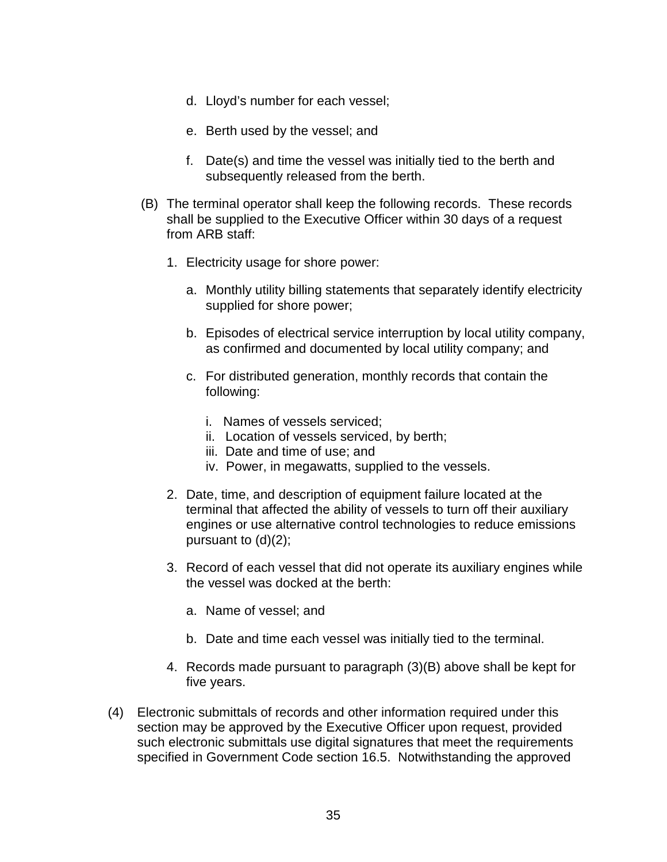- d. Lloyd's number for each vessel;
- e. Berth used by the vessel; and
- f. Date(s) and time the vessel was initially tied to the berth and subsequently released from the berth.
- (B) The terminal operator shall keep the following records. These records shall be supplied to the Executive Officer within 30 days of a request from ARB staff:
	- 1. Electricity usage for shore power:
		- a. Monthly utility billing statements that separately identify electricity supplied for shore power;
		- b. Episodes of electrical service interruption by local utility company, as confirmed and documented by local utility company; and
		- c. For distributed generation, monthly records that contain the following:
			- i. Names of vessels serviced;
			- ii. Location of vessels serviced, by berth;
			- iii. Date and time of use; and
			- iv. Power, in megawatts, supplied to the vessels.
	- 2. Date, time, and description of equipment failure located at the terminal that affected the ability of vessels to turn off their auxiliary engines or use alternative control technologies to reduce emissions pursuant to (d)(2);
	- 3. Record of each vessel that did not operate its auxiliary engines while the vessel was docked at the berth:
		- a. Name of vessel; and
		- b. Date and time each vessel was initially tied to the terminal.
	- 4. Records made pursuant to paragraph (3)(B) above shall be kept for five years.
- (4) Electronic submittals of records and other information required under this section may be approved by the Executive Officer upon request, provided such electronic submittals use digital signatures that meet the requirements specified in Government Code section 16.5. Notwithstanding the approved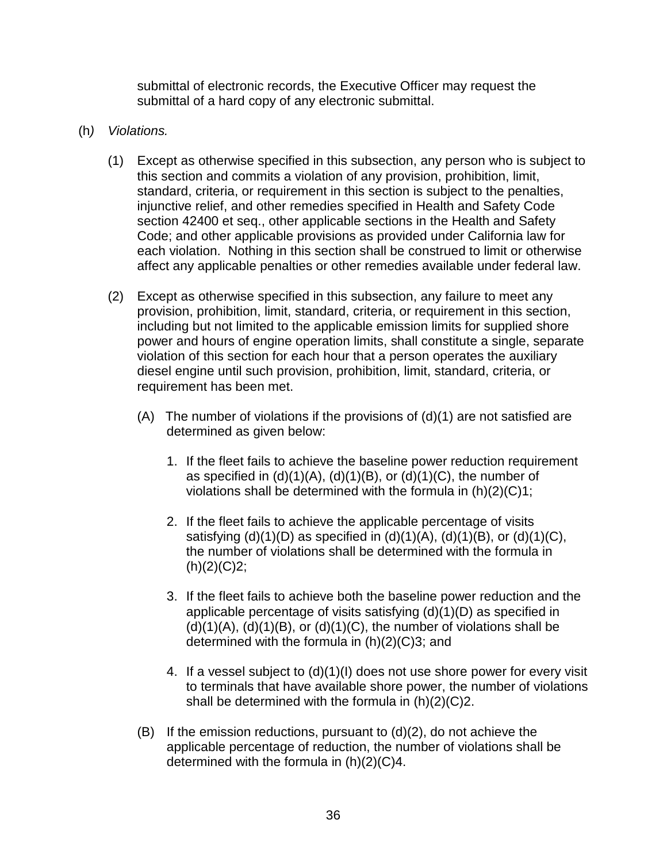submittal of electronic records, the Executive Officer may request the submittal of a hard copy of any electronic submittal.

- (h) Violations.
	- (1) Except as otherwise specified in this subsection, any person who is subject to this section and commits a violation of any provision, prohibition, limit, standard, criteria, or requirement in this section is subject to the penalties, injunctive relief, and other remedies specified in Health and Safety Code section 42400 et seq., other applicable sections in the Health and Safety Code; and other applicable provisions as provided under California law for each violation. Nothing in this section shall be construed to limit or otherwise affect any applicable penalties or other remedies available under federal law.
	- (2) Except as otherwise specified in this subsection, any failure to meet any provision, prohibition, limit, standard, criteria, or requirement in this section, including but not limited to the applicable emission limits for supplied shore power and hours of engine operation limits, shall constitute a single, separate violation of this section for each hour that a person operates the auxiliary diesel engine until such provision, prohibition, limit, standard, criteria, or requirement has been met.
		- (A) The number of violations if the provisions of  $(d)(1)$  are not satisfied are determined as given below:
			- 1. If the fleet fails to achieve the baseline power reduction requirement as specified in  $(d)(1)(A)$ ,  $(d)(1)(B)$ , or  $(d)(1)(C)$ , the number of violations shall be determined with the formula in (h)(2)(C)1;
			- 2. If the fleet fails to achieve the applicable percentage of visits satisfying  $(d)(1)(D)$  as specified in  $(d)(1)(A)$ ,  $(d)(1)(B)$ , or  $(d)(1)(C)$ , the number of violations shall be determined with the formula in  $(h)(2)(C)2;$
			- 3. If the fleet fails to achieve both the baseline power reduction and the applicable percentage of visits satisfying (d)(1)(D) as specified in  $(d)(1)(A)$ ,  $(d)(1)(B)$ , or  $(d)(1)(C)$ , the number of violations shall be determined with the formula in (h)(2)(C)3; and
			- 4. If a vessel subject to (d)(1)(I) does not use shore power for every visit to terminals that have available shore power, the number of violations shall be determined with the formula in (h)(2)(C)2.
		- $(B)$  If the emission reductions, pursuant to  $(d)(2)$ , do not achieve the applicable percentage of reduction, the number of violations shall be determined with the formula in (h)(2)(C)4.